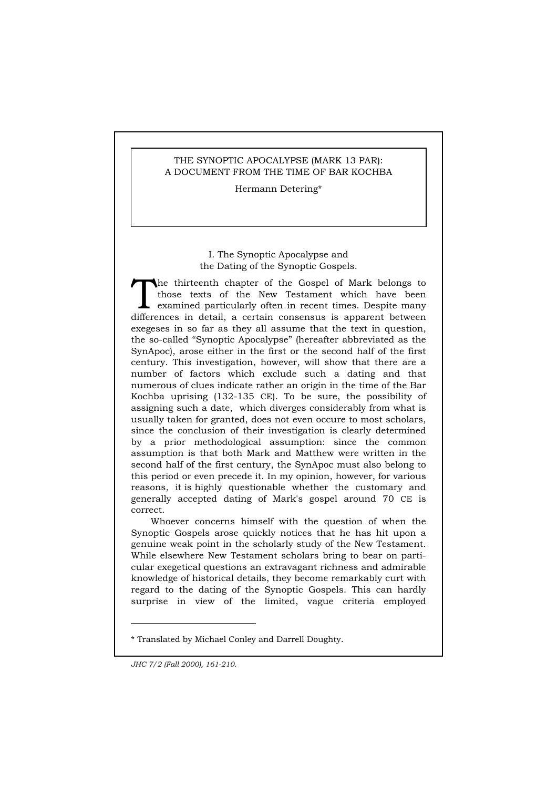# THE SYNOPTIC APOCALYPSE (MARK 13 PAR): A DOCUMENT FROM THE TIME OF BAR KOCHBA

Hermann Detering\*

# I. The Synoptic Apocalypse and the Dating of the Synoptic Gospels.

he thirteenth chapter of the Gospel of Mark belongs to those texts of the New Testament which have been examined particularly often in recent times. Despite many The thirteenth chapter of the Gospel of Mark belongs to those texts of the New Testament which have been examined particularly often in recent times. Despite many differences in detail, a certain consensus is apparent betw exegeses in so far as they all assume that the text in question, the so-called "Synoptic Apocalypse" (hereafter abbreviated as the SynApoc), arose either in the first or the second half of the first century. This investigation, however, will show that there are a number of factors which exclude such a dating and that numerous of clues indicate rather an origin in the time of the Bar Kochba uprising (132-135 CE). To be sure, the possibility of assigning such a date, which diverges considerably from what is usually taken for granted, does not even occure to most scholars, since the conclusion of their investigation is clearly determined by a prior methodological assumption: since the common assumption is that both Mark and Matthew were written in the second half of the first century, the SynApoc must also belong to this period or even precede it. In my opinion, however, for various reasons, it is highly questionable whether the customary and generally accepted dating of Mark's gospel around 70 CE is correct.

Whoever concerns himself with the question of when the Synoptic Gospels arose quickly notices that he has hit upon a genuine weak point in the scholarly study of the New Testament. While elsewhere New Testament scholars bring to bear on particular exegetical questions an extravagant richness and admirable knowledge of historical details, they become remarkably curt with regard to the dating of the Synoptic Gospels. This can hardly surprise in view of the limited, vague criteria employed

<sup>\*</sup> Translated by Michael Conley and Darrell Doughty.

*JHC 7/2 (Fall 2000), 161-210.*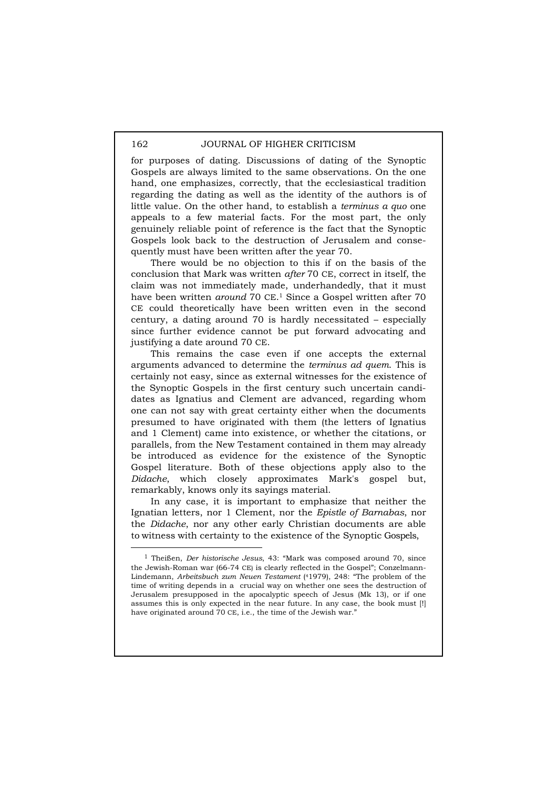for purposes of dating. Discussions of dating of the Synoptic Gospels are always limited to the same observations. On the one hand, one emphasizes, correctly, that the ecclesiastical tradition regarding the dating as well as the identity of the authors is of little value. On the other hand, to establish a *terminus a quo* one appeals to a few material facts. For the most part, the only genuinely reliable point of reference is the fact that the Synoptic Gospels look back to the destruction of Jerusalem and consequently must have been written after the year 70.

There would be no objection to this if on the basis of the conclusion that Mark was written *after* 70 CE, correct in itself, the claim was not immediately made, underhandedly, that it must have been written *around* 70 CE.1 Since a Gospel written after 70 CE could theoretically have been written even in the second century, a dating around 70 is hardly necessitated – especially since further evidence cannot be put forward advocating and justifying a date around 70 CE.

This remains the case even if one accepts the external arguments advanced to determine the *terminus ad quem*. This is certainly not easy, since as external witnesses for the existence of the Synoptic Gospels in the first century such uncertain candidates as Ignatius and Clement are advanced, regarding whom one can not say with great certainty either when the documents presumed to have originated with them (the letters of Ignatius and 1 Clement) came into existence, or whether the citations, or parallels, from the New Testament contained in them may already be introduced as evidence for the existence of the Synoptic Gospel literature. Both of these objections apply also to the *Didache*, which closely approximates Mark's gospel but, remarkably, knows only its sayings material.

In any case, it is important to emphasize that neither the Ignatian letters, nor 1 Clement, nor the *Epistle of Barnabas*, nor the *Didache*, nor any other early Christian documents are able to witness with certainty to the existence of the Synoptic Gospels,

 <sup>1</sup> Theißen, *Der historische Jesus*, 43: "Mark was composed around 70, since the Jewish-Roman war (66-74 CE) is clearly reflected in the Gospel"; Conzelmann-Lindemann, *Arbeitsbuch zum Neuen Testament* (41979), 248: "The problem of the time of writing depends in a crucial way on whether one sees the destruction of Jerusalem presupposed in the apocalyptic speech of Jesus (Mk 13), or if one assumes this is only expected in the near future. In any case, the book must [!] have originated around 70 CE, i.e., the time of the Jewish war."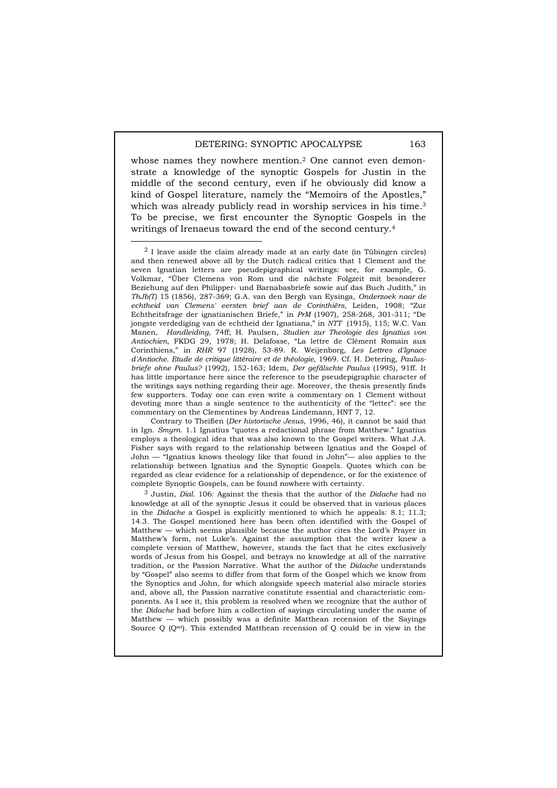whose names they nowhere mention.<sup>2</sup> One cannot even demonstrate a knowledge of the synoptic Gospels for Justin in the middle of the second century, even if he obviously did know a kind of Gospel literature, namely the "Memoirs of the Apostles," which was already publicly read in worship services in his time.<sup>3</sup> To be precise, we first encounter the Synoptic Gospels in the writings of Irenaeus toward the end of the second century.4

Contrary to Theißen (*Der historische Jesus*, 1996, 46), it cannot be said that in Ign. *Smyrn*. 1.1 Ignatius "quotes a redactional phrase from Matthew." Ignatius employs a theological idea that was also known to the Gospel writers. What J.A. Fisher says with regard to the relationship between Ignatius and the Gospel of John — "Ignatius knows theology like that found in John"— also applies to the relationship between Ignatius and the Synoptic Gospels. Quotes which can be regarded as clear evidence for a relationship of dependence, or for the existence of complete Synoptic Gospels, can be found nowhere with certainty.

3 Justin, *Dial.* 106: Against the thesis that the author of the *Didache* had no knowledge at all of the synoptic Jesus it could be observed that in various places in the *Didache* a Gospel is explicitly mentioned to which he appeals: 8.1; 11.3; 14.3. The Gospel mentioned here has been often identified with the Gospel of Matthew — which seems plausible because the author cites the Lord's Prayer in Matthew's form, not Luke's. Against the assumption that the writer knew a complete version of Matthew, however, stands the fact that he cites exclusively words of Jesus from his Gospel, and betrays no knowledge at all of the narrative tradition, or the Passion Narrative. What the author of the *Didache* understands by "Gospel" also seems to differ from that form of the Gospel which we know from the Synoptics and John, for which alongside speech material also miracle stories and, above all, the Passion narrative constitute essential and characteristic components. As I see it, this problem is resolved when we recognize that the author of the *Didache* had before him a collection of sayings circulating under the name of Matthew — which possibly was a definite Matthean recension of the Sayings Source Q (Qmt). This extended Matthean recension of Q could be in view in the

 $2$  I leave aside the claim already made at an early date (in Tübingen circles) and then renewed above all by the Dutch radical critics that 1 Clement and the seven Ignatian letters are pseudepigraphical writings: see, for example, G. Volkmar, "Über Clemens von Rom und die nächste Folgzeit mit besonderer Beziehung auf den Philipper- und Barnabasbriefe sowie auf das Buch Judith," in *ThJb(T)* 15 (1856), 287-369; G.A. van den Bergh van Eysinga, *Onderzoek naar de echtheid van Clemens' eersten brief aan de Corinthiërs*, Leiden, 1908; "Zur Echtheitsfrage der ignatianischen Briefe," in *PrM* (1907), 258-268, 301-311; "De jongste verdediging van de echtheid der Ignatiana," in *NTT* (1915), 115; W.C. Van Manen, *Handleiding*, 74ff; H. Paulsen, *Studien zur Theologie des Ignatius von Antiochien*, FKDG 29, 1978; H. Delafosse, "La lettre de Clément Romain aux Corinthiens," in *RHR* 97 (1928), 53-89. R. Weijenborg, *Les Lettres d'Ignace d'Antioche. Etude de critique littéraire et de théologie*, 1969. Cf. H. Detering, *Paulusbriefe ohne Paulus?* (1992), 152-163; Idem, *Der gefälschte Paulus* (1995), 91ff. It has little importance here since the reference to the pseudepigraphic character of the writings says nothing regarding their age. Moreover, the thesis presently finds few supporters. Today one can even write a commentary on 1 Clement without devoting more than a single sentence to the authenticity of the "letter": see the commentary on the Clementines by Andreas Lindemann, HNT 7, 12.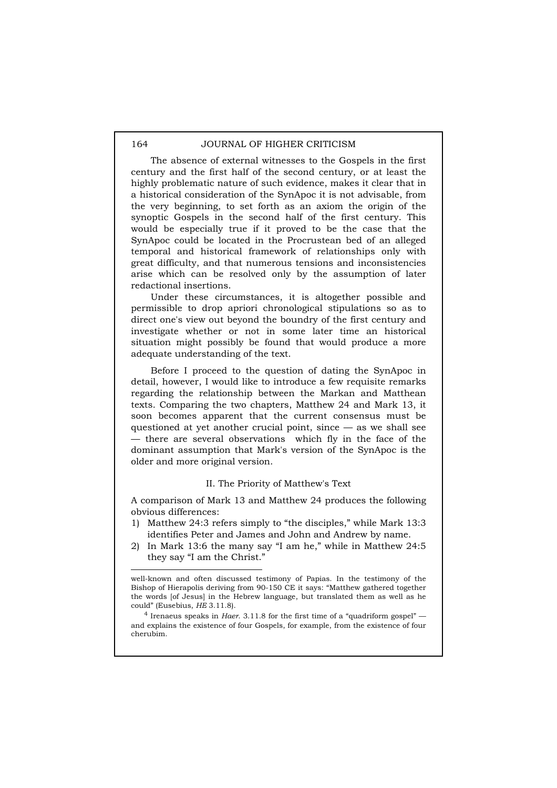The absence of external witnesses to the Gospels in the first century and the first half of the second century, or at least the highly problematic nature of such evidence, makes it clear that in a historical consideration of the SynApoc it is not advisable, from the very beginning, to set forth as an axiom the origin of the synoptic Gospels in the second half of the first century. This would be especially true if it proved to be the case that the SynApoc could be located in the Procrustean bed of an alleged temporal and historical framework of relationships only with great difficulty, and that numerous tensions and inconsistencies arise which can be resolved only by the assumption of later redactional insertions.

Under these circumstances, it is altogether possible and permissible to drop apriori chronological stipulations so as to direct one's view out beyond the boundry of the first century and investigate whether or not in some later time an historical situation might possibly be found that would produce a more adequate understanding of the text.

Before I proceed to the question of dating the SynApoc in detail, however, I would like to introduce a few requisite remarks regarding the relationship between the Markan and Matthean texts. Comparing the two chapters, Matthew 24 and Mark 13, it soon becomes apparent that the current consensus must be questioned at yet another crucial point, since — as we shall see — there are several observations which fly in the face of the dominant assumption that Mark's version of the SynApoc is the older and more original version.

## II. The Priority of Matthew's Text

A comparison of Mark 13 and Matthew 24 produces the following obvious differences:

- 1) Matthew 24:3 refers simply to "the disciples," while Mark 13:3 identifies Peter and James and John and Andrew by name.
- 2) In Mark 13:6 the many say "I am he," while in Matthew 24:5 they say "I am the Christ."

4 Irenaeus speaks in *Haer*. 3.11.8 for the first time of a "quadriform gospel" and explains the existence of four Gospels, for example, from the existence of four cherubim.

 $\overline{a}$ 

well-known and often discussed testimony of Papias. In the testimony of the Bishop of Hierapolis deriving from 90-150 CE it says: "Matthew gathered together the words [of Jesus] in the Hebrew language, but translated them as well as he could" (Eusebius, *HE* 3.11.8).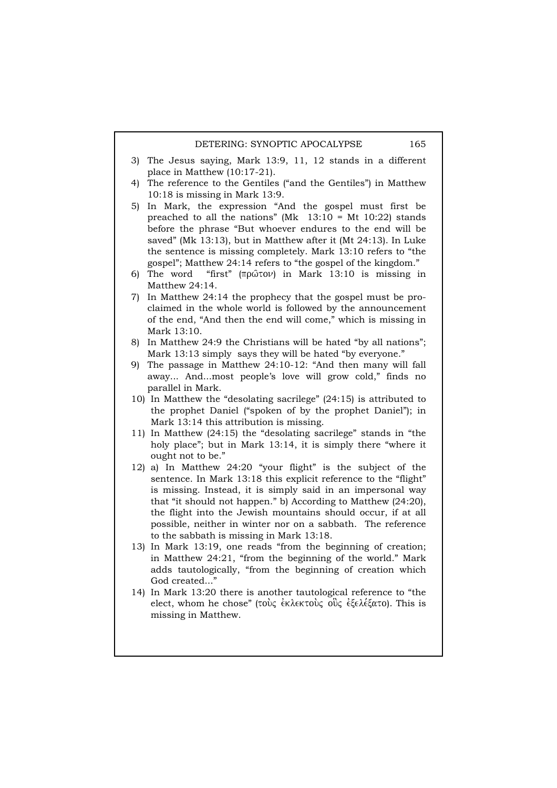- 3) The Jesus saying, Mark 13:9, 11, 12 stands in a different place in Matthew (10:17-21).
- 4) The reference to the Gentiles ("and the Gentiles") in Matthew 10:18 is missing in Mark 13:9.
- 5) In Mark, the expression "And the gospel must first be preached to all the nations" (Mk  $13:10 = Mt$  10:22) stands before the phrase "But whoever endures to the end will be saved" (Mk 13:13), but in Matthew after it (Mt 24:13). In Luke the sentence is missing completely. Mark 13:10 refers to "the gospel"; Matthew 24:14 refers to "the gospel of the kingdom."
- 6) The word "first" ( $\pi \rho \hat{\omega} \tau \hat{\omega}$ ) in Mark 13:10 is missing in Matthew 24:14.
- 7) In Matthew 24:14 the prophecy that the gospel must be proclaimed in the whole world is followed by the announcement of the end, "And then the end will come," which is missing in Mark 13:10.
- 8) In Matthew 24:9 the Christians will be hated "by all nations"; Mark 13:13 simply says they will be hated "by everyone."
- 9) The passage in Matthew 24:10-12: "And then many will fall away... And...most people's love will grow cold," finds no parallel in Mark.
- 10) In Matthew the "desolating sacrilege" (24:15) is attributed to the prophet Daniel ("spoken of by the prophet Daniel"); in Mark 13:14 this attribution is missing.
- 11) In Matthew (24:15) the "desolating sacrilege" stands in "the holy place"; but in Mark 13:14, it is simply there "where it ought not to be."
- 12) a) In Matthew 24:20 "your flight" is the subject of the sentence. In Mark 13:18 this explicit reference to the "flight" is missing. Instead, it is simply said in an impersonal way that "it should not happen." b) According to Matthew (24:20), the flight into the Jewish mountains should occur, if at all possible, neither in winter nor on a sabbath. The reference to the sabbath is missing in Mark 13:18.
- 13) In Mark 13:19, one reads "from the beginning of creation; in Matthew 24:21, "from the beginning of the world." Mark adds tautologically, "from the beginning of creation which God created..."
- 14) In Mark 13:20 there is another tautological reference to "the elect, whom he chose" (τους έκλεκτους ους έξελέξατο). This is missing in Matthew.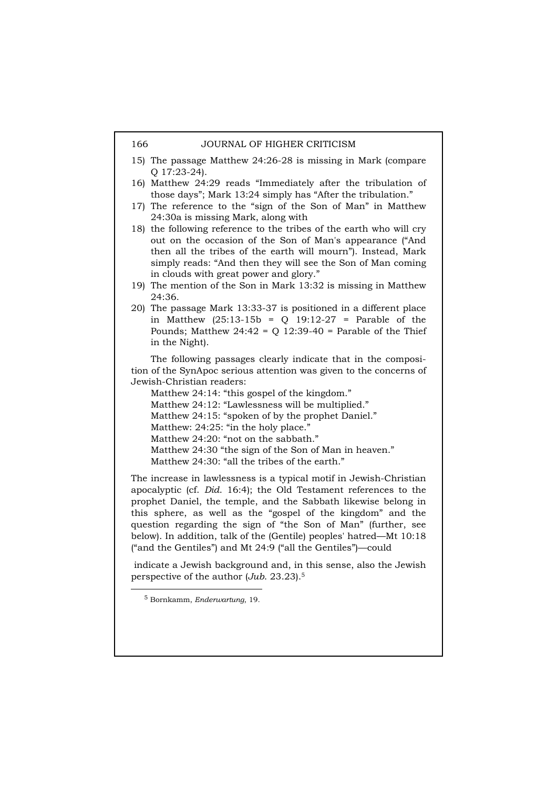- 15) The passage Matthew 24:26-28 is missing in Mark (compare Q 17:23-24).
- 16) Matthew 24:29 reads "Immediately after the tribulation of those days"; Mark 13:24 simply has "After the tribulation."
- 17) The reference to the "sign of the Son of Man" in Matthew 24:30a is missing Mark, along with
- 18) the following reference to the tribes of the earth who will cry out on the occasion of the Son of Man's appearance ("And then all the tribes of the earth will mourn"). Instead, Mark simply reads: "And then they will see the Son of Man coming in clouds with great power and glory."
- 19) The mention of the Son in Mark 13:32 is missing in Matthew 24:36.
- 20) The passage Mark 13:33-37 is positioned in a different place in Matthew (25:13-15b = Q 19:12-27 = Parable of the Pounds; Matthew  $24:42 = Q$  12:39-40 = Parable of the Thief in the Night).

The following passages clearly indicate that in the composition of the SynApoc serious attention was given to the concerns of Jewish-Christian readers:

Matthew 24:14: "this gospel of the kingdom." Matthew 24:12: "Lawlessness will be multiplied." Matthew 24:15: "spoken of by the prophet Daniel." Matthew: 24:25: "in the holy place." Matthew 24:20: "not on the sabbath." Matthew 24:30 "the sign of the Son of Man in heaven." Matthew 24:30: "all the tribes of the earth."

The increase in lawlessness is a typical motif in Jewish-Christian apocalyptic (cf. *Did*. 16:4); the Old Testament references to the prophet Daniel, the temple, and the Sabbath likewise belong in this sphere, as well as the "gospel of the kingdom" and the question regarding the sign of "the Son of Man" (further, see below). In addition, talk of the (Gentile) peoples' hatred—Mt 10:18 ("and the Gentiles") and Mt 24:9 ("all the Gentiles")—could

 indicate a Jewish background and, in this sense, also the Jewish perspective of the author (*Jub*. 23.23).5

 <sup>5</sup> Bornkamm, *Enderwartung*, 19.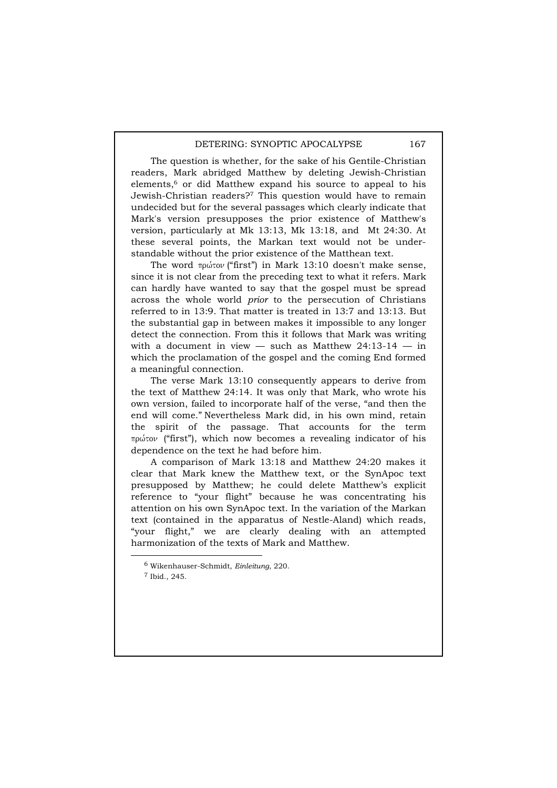The question is whether, for the sake of his Gentile-Christian readers, Mark abridged Matthew by deleting Jewish-Christian elements,<sup>6</sup> or did Matthew expand his source to appeal to his Jewish-Christian readers?7 This question would have to remain undecided but for the several passages which clearly indicate that Mark's version presupposes the prior existence of Matthew's version, particularly at Mk 13:13, Mk 13:18, and Mt 24:30. At these several points, the Markan text would not be understandable without the prior existence of the Matthean text.

The word  $\pi \rho \omega \tau \omega$  ("first") in Mark 13:10 doesn't make sense, since it is not clear from the preceding text to what it refers. Mark can hardly have wanted to say that the gospel must be spread across the whole world *prior* to the persecution of Christians referred to in 13:9. That matter is treated in 13:7 and 13:13. But the substantial gap in between makes it impossible to any longer detect the connection. From this it follows that Mark was writing with a document in view  $-$  such as Matthew 24:13-14  $-$  in which the proclamation of the gospel and the coming End formed a meaningful connection.

The verse Mark 13:10 consequently appears to derive from the text of Matthew 24:14. It was only that Mark, who wrote his own version, failed to incorporate half of the verse, "and then the end will come." Nevertheless Mark did, in his own mind, retain the spirit of the passage. That accounts for the term πρώτον ("first"), which now becomes a revealing indicator of his dependence on the text he had before him.

A comparison of Mark 13:18 and Matthew 24:20 makes it clear that Mark knew the Matthew text, or the SynApoc text presupposed by Matthew; he could delete Matthew's explicit reference to "your flight" because he was concentrating his attention on his own SynApoc text. In the variation of the Markan text (contained in the apparatus of Nestle-Aland) which reads, "your flight," we are clearly dealing with an attempted harmonization of the texts of Mark and Matthew.

 <sup>6</sup> Wikenhauser-Schmidt, *Einleitung*, 220.

<sup>7</sup> Ibid., 245.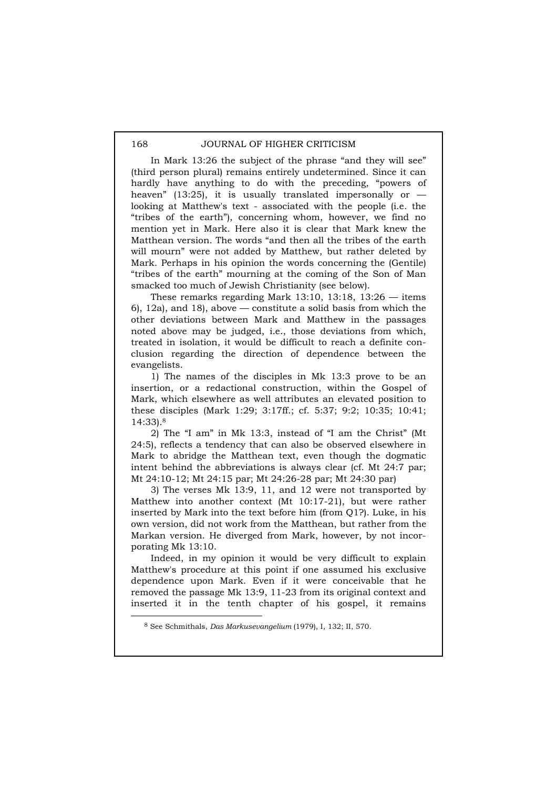In Mark 13:26 the subject of the phrase "and they will see" (third person plural) remains entirely undetermined. Since it can hardly have anything to do with the preceding, "powers of heaven" (13:25), it is usually translated impersonally or  $$ looking at Matthew's text - associated with the people (i.e. the "tribes of the earth"), concerning whom, however, we find no mention yet in Mark. Here also it is clear that Mark knew the Matthean version. The words "and then all the tribes of the earth will mourn" were not added by Matthew, but rather deleted by Mark. Perhaps in his opinion the words concerning the (Gentile) "tribes of the earth" mourning at the coming of the Son of Man smacked too much of Jewish Christianity (see below).

These remarks regarding Mark 13:10, 13:18, 13:26  $-$  items 6), 12a), and 18), above — constitute a solid basis from which the other deviations between Mark and Matthew in the passages noted above may be judged, i.e., those deviations from which, treated in isolation, it would be difficult to reach a definite conclusion regarding the direction of dependence between the evangelists.

1) The names of the disciples in Mk 13:3 prove to be an insertion, or a redactional construction, within the Gospel of Mark, which elsewhere as well attributes an elevated position to these disciples (Mark 1:29; 3:17ff.; cf. 5:37; 9:2; 10:35; 10:41; 14:33).8

2) The "I am" in Mk 13:3, instead of "I am the Christ" (Mt 24:5), reflects a tendency that can also be observed elsewhere in Mark to abridge the Matthean text, even though the dogmatic intent behind the abbreviations is always clear (cf. Mt 24:7 par; Mt 24:10-12; Mt 24:15 par; Mt 24:26-28 par; Mt 24:30 par)

3) The verses Mk 13:9, 11, and 12 were not transported by Matthew into another context (Mt 10:17-21), but were rather inserted by Mark into the text before him (from Q1?). Luke, in his own version, did not work from the Matthean, but rather from the Markan version. He diverged from Mark, however, by not incorporating Mk 13:10.

Indeed, in my opinion it would be very difficult to explain Matthew's procedure at this point if one assumed his exclusive dependence upon Mark. Even if it were conceivable that he removed the passage Mk 13:9, 11-23 from its original context and inserted it in the tenth chapter of his gospel, it remains

 <sup>8</sup> See Schmithals, *Das Markusevangelium* (1979), I, 132; II, 570.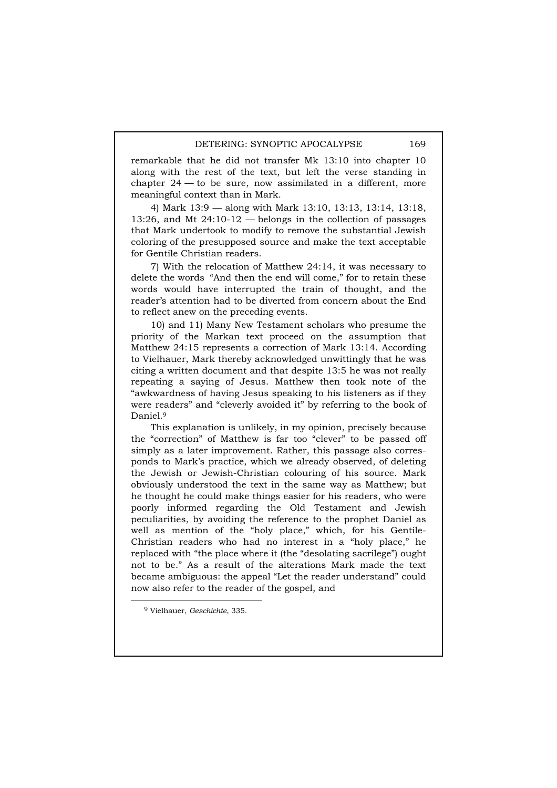remarkable that he did not transfer Mk 13:10 into chapter 10 along with the rest of the text, but left the verse standing in chapter 24 — to be sure, now assimilated in a different, more meaningful context than in Mark.

4) Mark 13:9 — along with Mark 13:10, 13:13, 13:14, 13:18, 13:26, and Mt 24:10-12 — belongs in the collection of passages that Mark undertook to modify to remove the substantial Jewish coloring of the presupposed source and make the text acceptable for Gentile Christian readers.

7) With the relocation of Matthew 24:14, it was necessary to delete the words "And then the end will come," for to retain these words would have interrupted the train of thought, and the reader's attention had to be diverted from concern about the End to reflect anew on the preceding events.

10) and 11) Many New Testament scholars who presume the priority of the Markan text proceed on the assumption that Matthew 24:15 represents a correction of Mark 13:14. According to Vielhauer, Mark thereby acknowledged unwittingly that he was citing a written document and that despite 13:5 he was not really repeating a saying of Jesus. Matthew then took note of the "awkwardness of having Jesus speaking to his listeners as if they were readers" and "cleverly avoided it" by referring to the book of Daniel.9

This explanation is unlikely, in my opinion, precisely because the "correction" of Matthew is far too "clever" to be passed off simply as a later improvement. Rather, this passage also corresponds to Mark's practice, which we already observed, of deleting the Jewish or Jewish-Christian colouring of his source. Mark obviously understood the text in the same way as Matthew; but he thought he could make things easier for his readers, who were poorly informed regarding the Old Testament and Jewish peculiarities, by avoiding the reference to the prophet Daniel as well as mention of the "holy place," which, for his Gentile-Christian readers who had no interest in a "holy place," he replaced with "the place where it (the "desolating sacrilege") ought not to be." As a result of the alterations Mark made the text became ambiguous: the appeal "Let the reader understand" could now also refer to the reader of the gospel, and

 <sup>9</sup> Vielhauer, *Geschichte*, 335.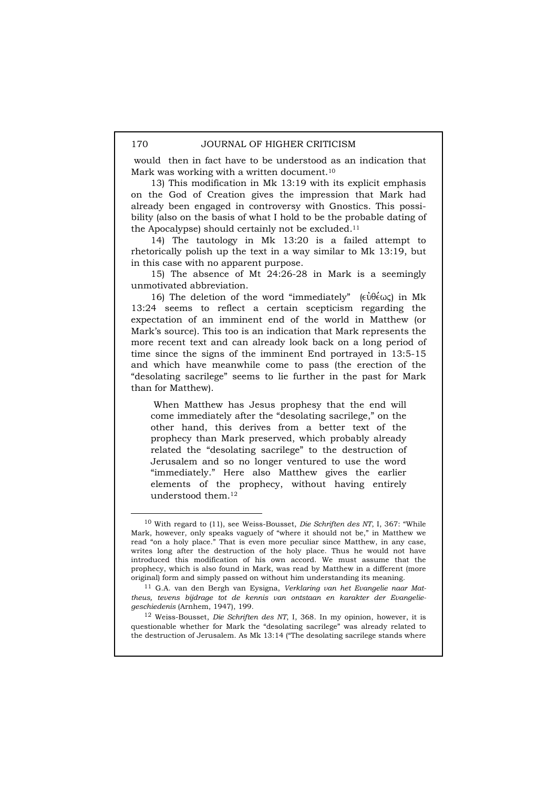would then in fact have to be understood as an indication that Mark was working with a written document.<sup>10</sup>

13) This modification in Mk 13:19 with its explicit emphasis on the God of Creation gives the impression that Mark had already been engaged in controversy with Gnostics. This possibility (also on the basis of what I hold to be the probable dating of the Apocalypse) should certainly not be excluded.<sup>11</sup>

14) The tautology in Mk 13:20 is a failed attempt to rhetorically polish up the text in a way similar to Mk 13:19, but in this case with no apparent purpose.

15) The absence of Mt 24:26-28 in Mark is a seemingly unmotivated abbreviation.

16) The deletion of the word "immediately" ( $\varepsilon \hat{\psi} \theta \hat{\epsilon} \omega \zeta$ ) in Mk 13:24 seems to reflect a certain scepticism regarding the expectation of an imminent end of the world in Matthew (or Mark's source). This too is an indication that Mark represents the more recent text and can already look back on a long period of time since the signs of the imminent End portrayed in 13:5-15 and which have meanwhile come to pass (the erection of the "desolating sacrilege" seems to lie further in the past for Mark than for Matthew).

 When Matthew has Jesus prophesy that the end will come immediately after the "desolating sacrilege," on the other hand, this derives from a better text of the prophecy than Mark preserved, which probably already related the "desolating sacrilege" to the destruction of Jerusalem and so no longer ventured to use the word "immediately." Here also Matthew gives the earlier elements of the prophecy, without having entirely understood them.12

12 Weiss-Bousset, *Die Schriften des NT*, I, 368. In my opinion, however, it is questionable whether for Mark the "desolating sacrilege" was already related to the destruction of Jerusalem. As Mk 13:14 ("The desolating sacrilege stands where

 <sup>10</sup> With regard to (11), see Weiss-Bousset, *Die Schriften des NT*, I, 367: "While Mark, however, only speaks vaguely of "where it should not be," in Matthew we read "on a holy place." That is even more peculiar since Matthew, in any case, writes long after the destruction of the holy place. Thus he would not have introduced this modification of his own accord. We must assume that the prophecy, which is also found in Mark, was read by Matthew in a different (more original) form and simply passed on without him understanding its meaning.

<sup>11</sup> G.A. van den Bergh van Eysigna, *Verklaring van het Evangelie naar Mattheus, tevens bijdrage tot de kennis van ontstaan en karakter der Evangeliegeschiedenis* (Arnhem, 1947), 199.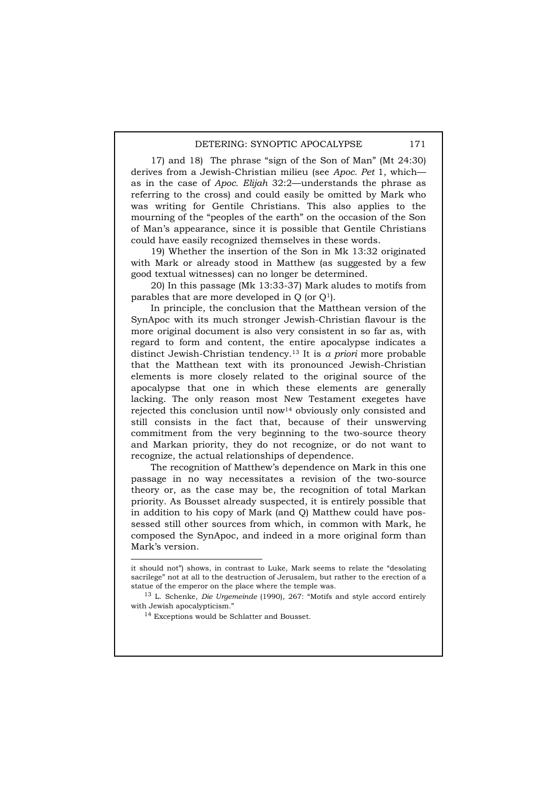17) and 18) The phrase "sign of the Son of Man" (Mt 24:30) derives from a Jewish-Christian milieu (see *Apoc. Pet* 1, which as in the case of *Apoc. Elijah* 32:2—understands the phrase as referring to the cross) and could easily be omitted by Mark who was writing for Gentile Christians. This also applies to the mourning of the "peoples of the earth" on the occasion of the Son of Man's appearance, since it is possible that Gentile Christians could have easily recognized themselves in these words.

19) Whether the insertion of the Son in Mk 13:32 originated with Mark or already stood in Matthew (as suggested by a few good textual witnesses) can no longer be determined.

20) In this passage (Mk 13:33-37) Mark aludes to motifs from parables that are more developed in Q (or Q1).

In principle, the conclusion that the Matthean version of the SynApoc with its much stronger Jewish-Christian flavour is the more original document is also very consistent in so far as, with regard to form and content, the entire apocalypse indicates a distinct Jewish-Christian tendency.13 It is *a priori* more probable that the Matthean text with its pronounced Jewish-Christian elements is more closely related to the original source of the apocalypse that one in which these elements are generally lacking. The only reason most New Testament exegetes have rejected this conclusion until now14 obviously only consisted and still consists in the fact that, because of their unswerving commitment from the very beginning to the two-source theory and Markan priority, they do not recognize, or do not want to recognize, the actual relationships of dependence.

The recognition of Matthew's dependence on Mark in this one passage in no way necessitates a revision of the two-source theory or, as the case may be, the recognition of total Markan priority. As Bousset already suspected, it is entirely possible that in addition to his copy of Mark (and Q) Matthew could have possessed still other sources from which, in common with Mark, he composed the SynApoc, and indeed in a more original form than Mark's version.

 $\overline{a}$ 

it should not") shows, in contrast to Luke, Mark seems to relate the "desolating sacrilege" not at all to the destruction of Jerusalem, but rather to the erection of a statue of the emperor on the place where the temple was.

<sup>13</sup> L. Schenke, *Die Urgemeinde* (1990), 267: "Motifs and style accord entirely with Jewish apocalypticism."

<sup>&</sup>lt;sup>14</sup> Exceptions would be Schlatter and Bousset.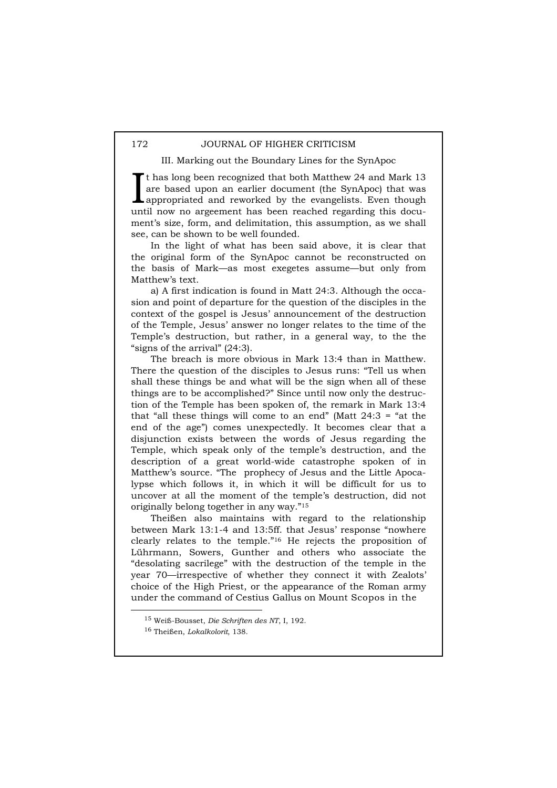III. Marking out the Boundary Lines for the SynApoc

t has long been recognized that both Matthew 24 and Mark 13 are based upon an earlier document (the SynApoc) that was appropriated and reworked by the evangelists. Even though It has long been recognized that both Matthew 24 and Mark 13 are based upon an earlier document (the SynApoc) that was appropriated and reworked by the evangelists. Even though until now no argeement has been reached regar ment's size, form, and delimitation, this assumption, as we shall see, can be shown to be well founded.

In the light of what has been said above, it is clear that the original form of the SynApoc cannot be reconstructed on the basis of Mark—as most exegetes assume—but only from Matthew's text.

a) A first indication is found in Matt 24:3. Although the occasion and point of departure for the question of the disciples in the context of the gospel is Jesus' announcement of the destruction of the Temple, Jesus' answer no longer relates to the time of the Temple's destruction, but rather, in a general way, to the the "signs of the arrival" (24:3).

The breach is more obvious in Mark 13:4 than in Matthew. There the question of the disciples to Jesus runs: "Tell us when shall these things be and what will be the sign when all of these things are to be accomplished?" Since until now only the destruction of the Temple has been spoken of, the remark in Mark 13:4 that "all these things will come to an end" (Matt  $24:3$  = "at the end of the age") comes unexpectedly. It becomes clear that a disjunction exists between the words of Jesus regarding the Temple, which speak only of the temple's destruction, and the description of a great world-wide catastrophe spoken of in Matthew's source. "The prophecy of Jesus and the Little Apocalypse which follows it, in which it will be difficult for us to uncover at all the moment of the temple's destruction, did not originally belong together in any way."15

Theißen also maintains with regard to the relationship between Mark 13:1-4 and 13:5ff. that Jesus' response "nowhere clearly relates to the temple."16 He rejects the proposition of Lührmann, Sowers, Gunther and others who associate the "desolating sacrilege" with the destruction of the temple in the year 70—irrespective of whether they connect it with Zealots' choice of the High Priest, or the appearance of the Roman army under the command of Cestius Gallus on Mount Scopos in the

 <sup>15</sup> Weiß-Bousset, *Die Schriften des NT*, I, 192.

<sup>16</sup> Theißen, *Lokalkolorit*, 138.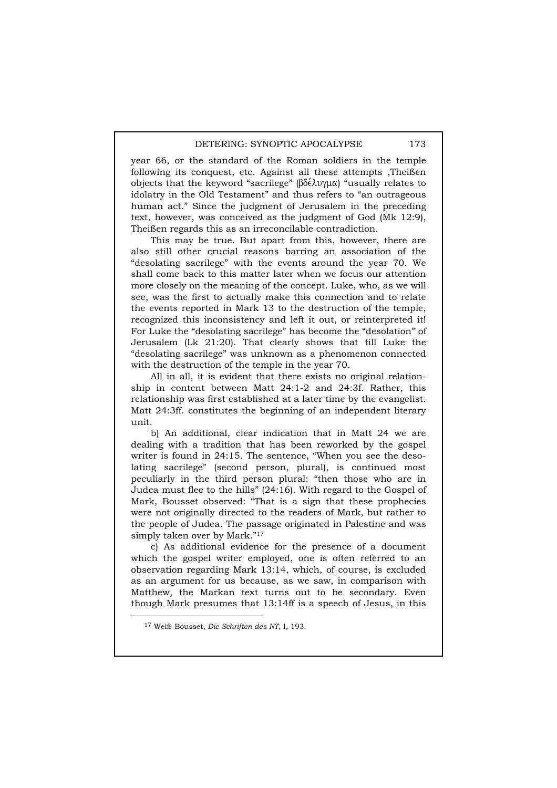year 66, or the standard of the Roman soldiers in the temple following its conquest, etc. Against all these attempts ,Theißen objects that the keyword "sacrilege"  $(\beta \delta \epsilon \lambda \nu) \mu \alpha$  "usually relates to idolatry in the Old Testament" and thus refers to "an outrageous human act." Since the judgment of Jerusalem in the preceding text, however, was conceived as the judgment of God (Mk 12:9), Theißen regards this as an irreconcilable contradiction.

This may be true. But apart from this, however, there are also still other crucial reasons barring an association of the "desolating sacrilege" with the events around the year 70. We shall come back to this matter later when we focus our attention more closely on the meaning of the concept. Luke, who, as we will see, was the first to actually make this connection and to relate the events reported in Mark 13 to the destruction of the temple, recognized this inconsistency and left it out, or reinterpreted it! For Luke the "desolating sacrilege" has become the "desolation" of Jerusalem (Lk 21:20). That clearly shows that till Luke the "desolating sacrilege" was unknown as a phenomenon connected with the destruction of the temple in the year 70.

All in all, it is evident that there exists no original relationship in content between Matt 24:1-2 and 24:3f. Rather, this relationship was first established at a later time by the evangelist. Matt 24:3ff. constitutes the beginning of an independent literary unit.

b) An additional, clear indication that in Matt 24 we are dealing with a tradition that has been reworked by the gospel writer is found in 24:15. The sentence, "When you see the desolating sacrilege" (second person, plural), is continued most peculiarly in the third person plural: "then those who are in Judea must flee to the hills" (24:16). With regard to the Gospel of Mark, Bousset observed: "That is a sign that these prophecies were not originally directed to the readers of Mark, but rather to the people of Judea. The passage originated in Palestine and was simply taken over by Mark."17

c) As additional evidence for the presence of a document which the gospel writer employed, one is often referred to an observation regarding Mark 13:14, which, of course, is excluded as an argument for us because, as we saw, in comparison with Matthew, the Markan text turns out to be secondary. Even though Mark presumes that 13:14ff is a speech of Jesus, in this

 <sup>17</sup> Weiß-Bousset, *Die Schriften des NT*, I, 193.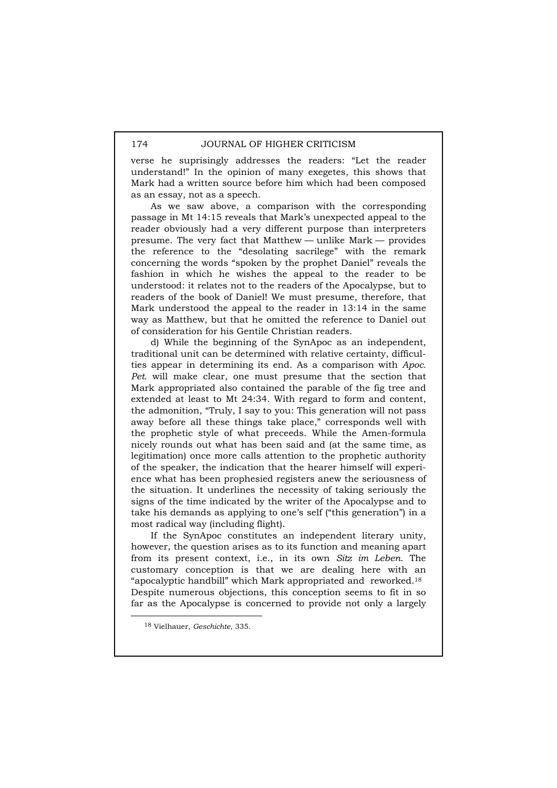verse he suprisingly addresses the readers: "Let the reader understand!" In the opinion of many exegetes, this shows that Mark had a written source before him which had been composed as an essay, not as a speech.

As we saw above, a comparison with the corresponding passage in Mt 14:15 reveals that Mark's unexpected appeal to the reader obviously had a very different purpose than interpreters presume. The very fact that Matthew — unlike Mark — provides the reference to the "desolating sacrilege" with the remark concerning the words "spoken by the prophet Daniel" reveals the fashion in which he wishes the appeal to the reader to be understood: it relates not to the readers of the Apocalypse, but to readers of the book of Daniel! We must presume, therefore, that Mark understood the appeal to the reader in 13:14 in the same way as Matthew, but that he omitted the reference to Daniel out of consideration for his Gentile Christian readers.

d) While the beginning of the SynApoc as an independent, traditional unit can be determined with relative certainty, difficulties appear in determining its end. As a comparison with *Apoc. Pet.* will make clear, one must presume that the section that Mark appropriated also contained the parable of the fig tree and extended at least to Mt 24:34. With regard to form and content, the admonition, "Truly, I say to you: This generation will not pass away before all these things take place," corresponds well with the prophetic style of what preceeds. While the Amen-formula nicely rounds out what has been said and (at the same time, as legitimation) once more calls attention to the prophetic authority of the speaker, the indication that the hearer himself will experience what has been prophesied registers anew the seriousness of the situation. It underlines the necessity of taking seriously the signs of the time indicated by the writer of the Apocalypse and to take his demands as applying to one's self ("this generation") in a most radical way (including flight).

If the SynApoc constitutes an independent literary unity, however, the question arises as to its function and meaning apart from its present context, i.e., in its own *Sitz im Leben*. The customary conception is that we are dealing here with an "apocalyptic handbill" which Mark appropriated and reworked.18 Despite numerous objections, this conception seems to fit in so far as the Apocalypse is concerned to provide not only a largely

 <sup>18</sup> Vielhauer, *Geschichte*, 335.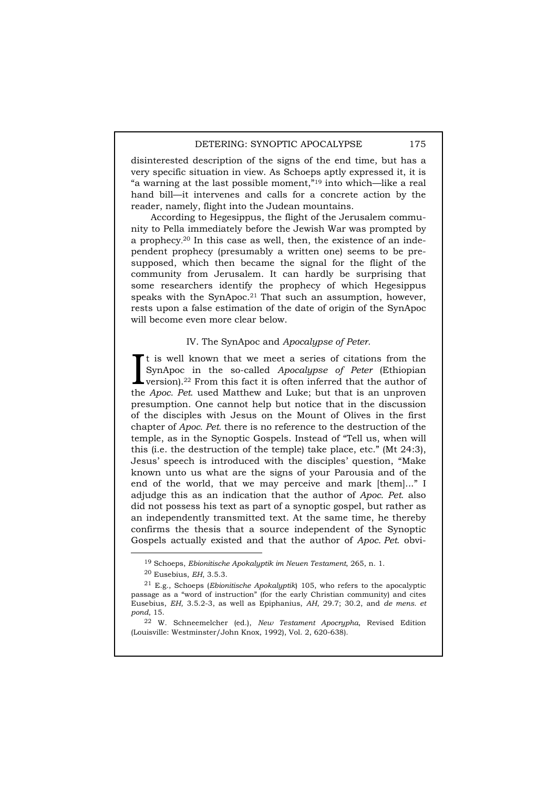disinterested description of the signs of the end time, but has a very specific situation in view. As Schoeps aptly expressed it, it is "a warning at the last possible moment,"19 into which—like a real hand bill—it intervenes and calls for a concrete action by the reader, namely, flight into the Judean mountains.

According to Hegesippus, the flight of the Jerusalem community to Pella immediately before the Jewish War was prompted by a prophecy. 20 In this case as well, then, the existence of an independent prophecy (presumably a written one) seems to be presupposed, which then became the signal for the flight of the community from Jerusalem. It can hardly be surprising that some researchers identify the prophecy of which Hegesippus speaks with the SynApoc.21 That such an assumption, however, rests upon a false estimation of the date of origin of the SynApoc will become even more clear below.

# IV. The SynApoc and *Apocalypse of Peter.*

t is well known that we meet a series of citations from the SynApoc in the so-called *Apocalypse of Peter* (Ethiopian It is well known that we meet a series of citations from the SynApoc in the so-called *Apocalypse of Peter* (Ethiopian version).<sup>22</sup> From this fact it is often inferred that the author of the *Apoca Bet* used Motthew and the *Apoc. Pet*. used Matthew and Luke; but that is an unproven presumption. One cannot help but notice that in the discussion of the disciples with Jesus on the Mount of Olives in the first chapter of *Apoc. Pet.* there is no reference to the destruction of the temple, as in the Synoptic Gospels. Instead of "Tell us, when will this (i.e. the destruction of the temple) take place, etc." (Mt 24:3), Jesus' speech is introduced with the disciples' question, "Make known unto us what are the signs of your Parousia and of the end of the world, that we may perceive and mark [them]..." I adjudge this as an indication that the author of *Apoc. Pet.* also did not possess his text as part of a synoptic gospel, but rather as an independently transmitted text. At the same time, he thereby confirms the thesis that a source independent of the Synoptic Gospels actually existed and that the author of *Apoc. Pet.* obvi-

 <sup>19</sup> Schoeps, *Ebionitische Apokalyptik im Neuen Testament*, 265, n. 1. 20 Eusebius, *EH*, 3.5.3.

<sup>21</sup> E.g., Schoeps (*Ebionitische Apokalyptik*) 105, who refers to the apocalyptic passage as a "word of instruction" (for the early Christian community) and cites Eusebius, *EH*, 3.5.2-3, as well as Epiphanius, *AH*, 29.7; 30.2, and *de mens. et pond*, 15.

<sup>22</sup> W. Schneemelcher (ed.), *New Testament Apocrypha*, Revised Edition (Louisville: Westminster/John Knox, 1992), Vol. 2, 620-638).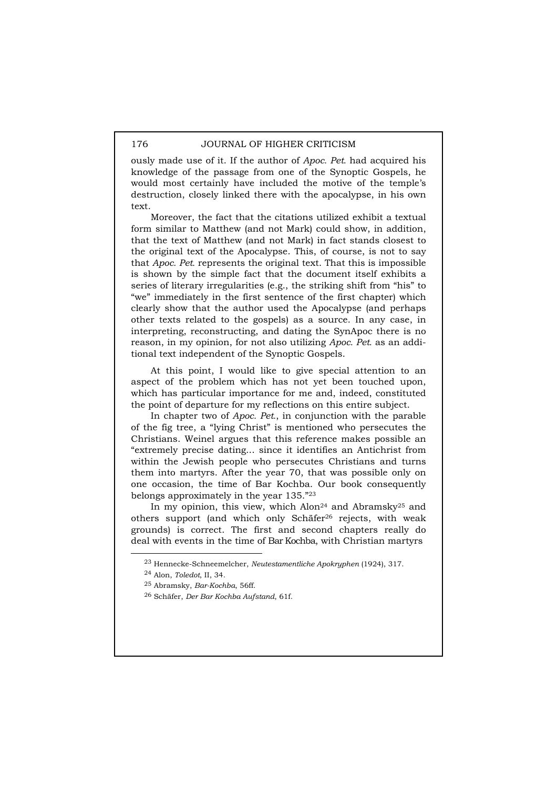ously made use of it. If the author of *Apoc. Pet.* had acquired his knowledge of the passage from one of the Synoptic Gospels, he would most certainly have included the motive of the temple's destruction, closely linked there with the apocalypse, in his own text.

Moreover, the fact that the citations utilized exhibit a textual form similar to Matthew (and not Mark) could show, in addition, that the text of Matthew (and not Mark) in fact stands closest to the original text of the Apocalypse. This, of course, is not to say that *Apoc. Pet.* represents the original text. That this is impossible is shown by the simple fact that the document itself exhibits a series of literary irregularities (e.g., the striking shift from "his" to "we" immediately in the first sentence of the first chapter) which clearly show that the author used the Apocalypse (and perhaps other texts related to the gospels) as a source. In any case, in interpreting, reconstructing, and dating the SynApoc there is no reason, in my opinion, for not also utilizing *Apoc. Pet.* as an additional text independent of the Synoptic Gospels.

At this point, I would like to give special attention to an aspect of the problem which has not yet been touched upon, which has particular importance for me and, indeed, constituted the point of departure for my reflections on this entire subject.

In chapter two of *Apoc. Pet.*, in conjunction with the parable of the fig tree, a "lying Christ" is mentioned who persecutes the Christians. Weinel argues that this reference makes possible an "extremely precise dating... since it identifies an Antichrist from within the Jewish people who persecutes Christians and turns them into martyrs. After the year 70, that was possible only on one occasion, the time of Bar Kochba. Our book consequently belongs approximately in the year 135."23

In my opinion, this view, which  $Alon<sup>24</sup>$  and  $Abramsky<sup>25</sup>$  and others support (and which only Schäfer26 rejects, with weak grounds) is correct. The first and second chapters really do deal with events in the time of Bar Kochba, with Christian martyrs

 <sup>23</sup> Hennecke-Schneemelcher, *Neutestamentliche Apokryphen* (1924), 317.

<sup>24</sup> Alon, *Toledot*, II, 34.

<sup>25</sup> Abramsky, *Bar-Kochba*, 56ff.

<sup>26</sup> Schäfer, *Der Bar Kochba Aufstand*, 61f.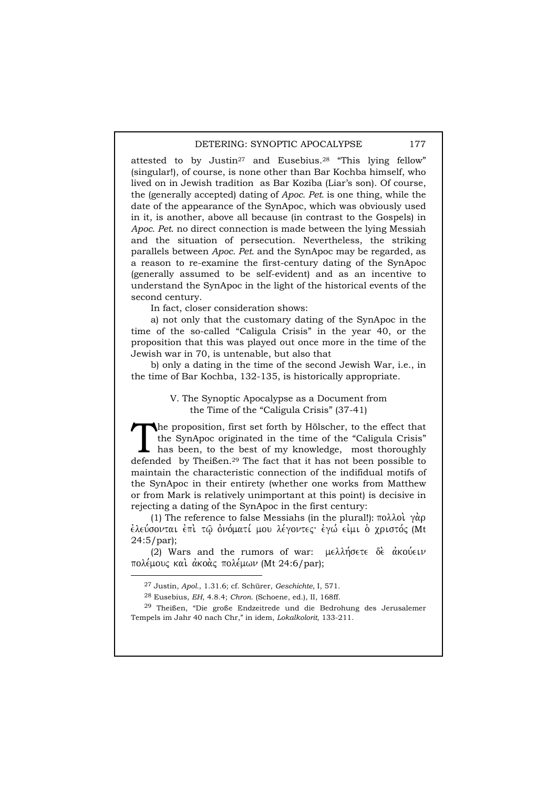attested to by Justin27 and Eusebius.28 "This lying fellow" (singular!), of course, is none other than Bar Kochba himself, who lived on in Jewish tradition as Bar Koziba (Liar's son). Of course, the (generally accepted) dating of *Apoc. Pet.* is one thing, while the date of the appearance of the SynApoc, which was obviously used in it, is another, above all because (in contrast to the Gospels) in *Apoc. Pet*. no direct connection is made between the lying Messiah and the situation of persecution. Nevertheless, the striking parallels between *Apoc. Pet.* and the SynApoc may be regarded, as a reason to re-examine the first-century dating of the SynApoc (generally assumed to be self-evident) and as an incentive to understand the SynApoc in the light of the historical events of the second century.

In fact, closer consideration shows:

a) not only that the customary dating of the SynApoc in the time of the so-called "Caligula Crisis" in the year 40, or the proposition that this was played out once more in the time of the Jewish war in 70, is untenable, but also that

b) only a dating in the time of the second Jewish War, i.e., in the time of Bar Kochba, 132-135, is historically appropriate.

> V. The Synoptic Apocalypse as a Document from the Time of the "Caligula Crisis" (37-41)

he proposition, first set forth by Hölscher, to the effect that the SynApoc originated in the time of the "Caligula Crisis" has been, to the best of my knowledge, most thoroughly The proposition, first set forth by Hölscher, to the effect that<br>the SynApoc originated in the time of the "Caligula Crisis"<br>has been, to the best of my knowledge, most thoroughly<br>defended by Theißen.<sup>29</sup> The fact that it maintain the characteristic connection of the indifidual motifs of the SynApoc in their entirety (whether one works from Matthew or from Mark is relatively unimportant at this point) is decisive in rejecting a dating of the SynApoc in the first century:

(1) The reference to false Messiahs (in the plural!):  $\pi$ o $\lambda$  $\lambda$ o $\lambda$   $\gamma$  $\alpha$ o ελεύσονται επι τω ονόματί μου λέγοντες· εγώ είμι ο χριστός (Mt 24:5/par);

(2) Wars and the rumors of war:  $\mu \in \lambda \lambda \eta$  ofter  $\delta \in \alpha \kappa$  avever πολέμους και άκοας πολέμων (Mt 24:6/par);

 <sup>27</sup> Justin, *Apol.*, 1.31.6; cf. Schürer, *Geschichte*, I, 571.

<sup>28</sup> Eusebius, *EH*, 4.8.4; *Chron*. (Schoene, ed.), II, 168ff.

<sup>29</sup> Theißen, "Die große Endzeitrede und die Bedrohung des Jerusalemer Tempels im Jahr 40 nach Chr," in idem, *Lokalkolorit*, 133-211.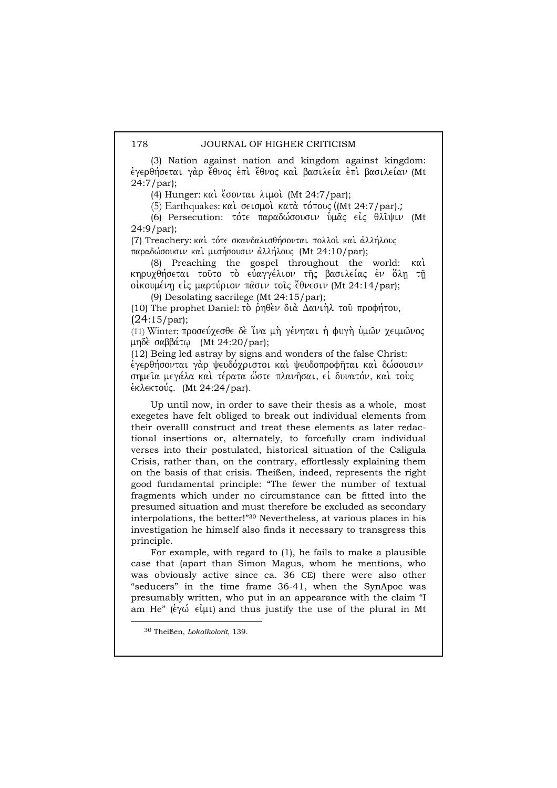(3) Nation against nation and kingdom against kingdom: εγερθήσεται γάρ έθνος επι έθνος και βασιλεία επι βασιλείαν (Mt 24:7/par);

(4) Hunger:  $k\alpha\lambda$  ( $\alpha\beta\alpha\lambda\mu$  and  $(Mt 24:7/par)$ ;

(5) Earthquakes: και σεισμοί κατά τόπους ((Mt 24:7/par).;

(6) Persecution: τότε παραδώσουσιν υμας είς θλιψιν (Mt 24:9/par);

(7) Treachery: και τότε σκανδαλισθήσονται πολλοί και άλλήλους παραδώσουσιν και μισήσουσιν άλλήλους (Mt 24:10/par);

(8) Preaching the gospel throughout the world: kai. κηρυχθήσεται τούτο το εύαγγέλιον της βασιλείας έν όλη τη oiκουμένη είς μαρτύριον πασιν τοις έθνεσιν (Mt 24:14/par);

(9) Desolating sacrilege (Mt 24:15/par);

(10) The prophet Daniel: τὸ ρηθεν διὰ Δανιήλ τοῦ προφήτου,  $(24:15/par);$ 

(11) Winter: προσεύχεσθε δε ΐνα μή γένηται ή φυγή ύμων χειμώνος μηδέ σαββάτω (Mt 24:20/par);

(12) Being led astray by signs and wonders of the false Christ: έγερθήσονται γὰρ ψευδόχριστοι και ψευδοπροφήται και δώσουσιν σημεία μεγάλα και τέρατα ώστε πλανήσαι, εί δυνατόν, και τους  $\epsilon$ κλεκτούς. (Mt 24:24/par).

Up until now, in order to save their thesis as a whole, most exegetes have felt obliged to break out individual elements from their overalll construct and treat these elements as later redactional insertions or, alternately, to forcefully cram individual verses into their postulated, historical situation of the Caligula Crisis, rather than, on the contrary, effortlessly explaining them on the basis of that crisis. Theißen, indeed, represents the right good fundamental principle: "The fewer the number of textual fragments which under no circumstance can be fitted into the presumed situation and must therefore be excluded as secondary interpolations, the better!"30 Nevertheless, at various places in his investigation he himself also finds it necessary to transgress this principle.

For example, with regard to (1), he fails to make a plausible case that (apart than Simon Magus, whom he mentions, who was obviously active since ca. 36 CE) there were also other "seducers" in the time frame 36-41, when the SynApoc was presumably written, who put in an appearance with the claim "I am He"  $(\dot{\epsilon}\gamma\dot{\omega} \dot{\epsilon}\mu\mu)$  and thus justify the use of the plural in Mt

 <sup>30</sup> Theißen, *Lokalkolorit*, 139.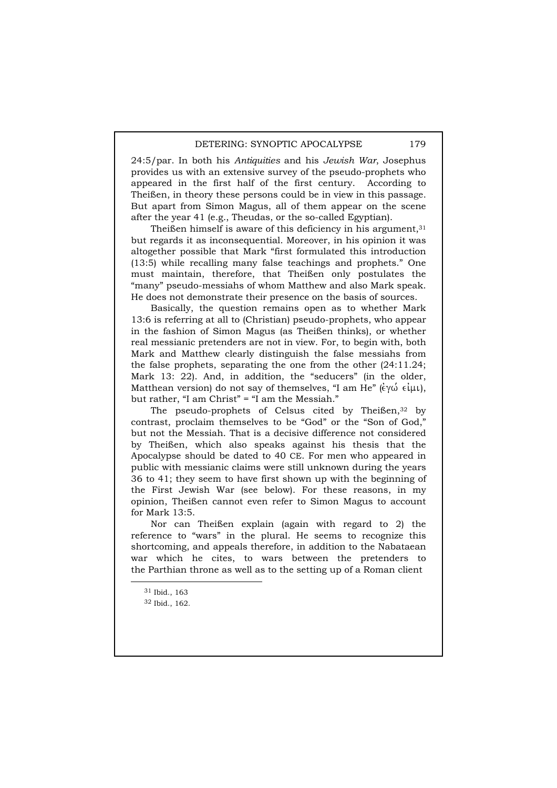24:5/par. In both his *Antiquities* and his *Jewish War*, Josephus provides us with an extensive survey of the pseudo-prophets who appeared in the first half of the first century. According to Theißen, in theory these persons could be in view in this passage. But apart from Simon Magus, all of them appear on the scene after the year 41 (e.g., Theudas, or the so-called Egyptian).

Theißen himself is aware of this deficiency in his argument,  $31$ but regards it as inconsequential. Moreover, in his opinion it was altogether possible that Mark "first formulated this introduction (13:5) while recalling many false teachings and prophets." One must maintain, therefore, that Theißen only postulates the "many" pseudo-messiahs of whom Matthew and also Mark speak. He does not demonstrate their presence on the basis of sources.

Basically, the question remains open as to whether Mark 13:6 is referring at all to (Christian) pseudo-prophets, who appear in the fashion of Simon Magus (as Theißen thinks), or whether real messianic pretenders are not in view. For, to begin with, both Mark and Matthew clearly distinguish the false messiahs from the false prophets, separating the one from the other (24:11.24; Mark 13: 22). And, in addition, the "seducers" (in the older, Matthean version) do not say of themselves, "I am He"  $(\epsilon \gamma \omega \epsilon \mu \nu)$ , but rather, "I am Christ" = "I am the Messiah."

The pseudo-prophets of Celsus cited by Theißen,<sup>32</sup> by contrast, proclaim themselves to be "God" or the "Son of God," but not the Messiah. That is a decisive difference not considered by Theißen, which also speaks against his thesis that the Apocalypse should be dated to 40 CE. For men who appeared in public with messianic claims were still unknown during the years 36 to 41; they seem to have first shown up with the beginning of the First Jewish War (see below). For these reasons, in my opinion, Theißen cannot even refer to Simon Magus to account for Mark 13:5.

Nor can Theißen explain (again with regard to 2) the reference to "wars" in the plural. He seems to recognize this shortcoming, and appeals therefore, in addition to the Nabataean war which he cites, to wars between the pretenders to the Parthian throne as well as to the setting up of a Roman client

 <sup>31</sup> Ibid., 163

<sup>32</sup> Ibid., 162.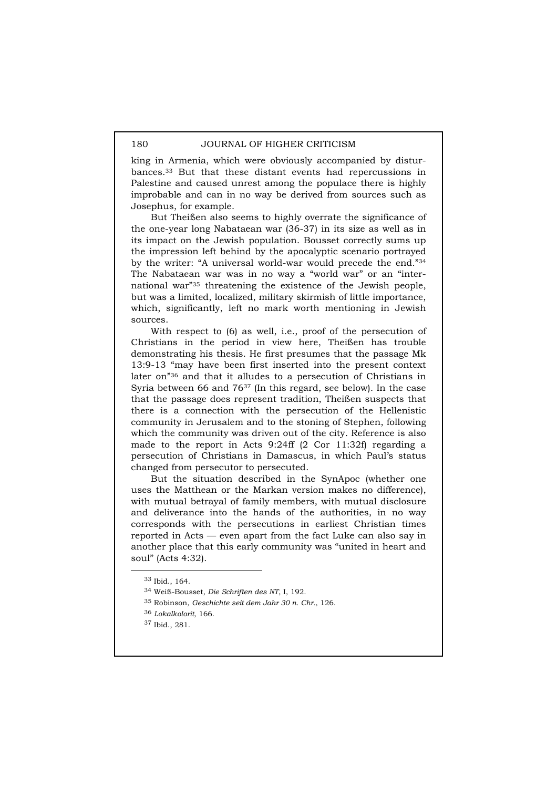king in Armenia, which were obviously accompanied by disturbances.33 But that these distant events had repercussions in Palestine and caused unrest among the populace there is highly improbable and can in no way be derived from sources such as Josephus, for example.

But Theißen also seems to highly overrate the significance of the one-year long Nabataean war (36-37) in its size as well as in its impact on the Jewish population. Bousset correctly sums up the impression left behind by the apocalyptic scenario portrayed by the writer: "A universal world-war would precede the end."34 The Nabataean war was in no way a "world war" or an "international war"35 threatening the existence of the Jewish people, but was a limited, localized, military skirmish of little importance, which, significantly, left no mark worth mentioning in Jewish sources.

With respect to (6) as well, i.e., proof of the persecution of Christians in the period in view here, Theißen has trouble demonstrating his thesis. He first presumes that the passage Mk 13:9-13 "may have been first inserted into the present context later on"36 and that it alludes to a persecution of Christians in Syria between 66 and 7637 (In this regard, see below). In the case that the passage does represent tradition, Theißen suspects that there is a connection with the persecution of the Hellenistic community in Jerusalem and to the stoning of Stephen, following which the community was driven out of the city. Reference is also made to the report in Acts 9:24ff (2 Cor 11:32f) regarding a persecution of Christians in Damascus, in which Paul's status changed from persecutor to persecuted.

But the situation described in the SynApoc (whether one uses the Matthean or the Markan version makes no difference), with mutual betrayal of family members, with mutual disclosure and deliverance into the hands of the authorities, in no way corresponds with the persecutions in earliest Christian times reported in Acts — even apart from the fact Luke can also say in another place that this early community was "united in heart and soul" (Acts 4:32).

 <sup>33</sup> Ibid., 164.

<sup>34</sup> Weiß-Bousset, *Die Schriften des NT*, I, 192.

<sup>35</sup> Robinson, *Geschichte seit dem Jahr 30 n. Chr.*, 126.

<sup>36</sup> *Lokalkolorit*, 166.

<sup>37</sup> Ibid., 281.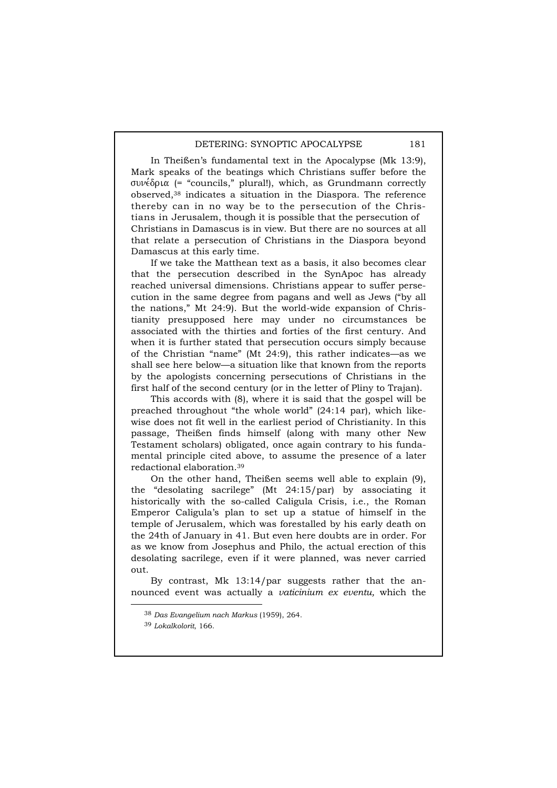In Theißen's fundamental text in the Apocalypse (Mk 13:9), Mark speaks of the beatings which Christians suffer before the συνέδρια (= "councils," plural!), which, as Grundmann correctly observed,38 indicates a situation in the Diaspora. The reference thereby can in no way be to the persecution of the Christians in Jerusalem, though it is possible that the persecution of Christians in Damascus is in view. But there are no sources at all that relate a persecution of Christians in the Diaspora beyond Damascus at this early time.

If we take the Matthean text as a basis, it also becomes clear that the persecution described in the SynApoc has already reached universal dimensions. Christians appear to suffer persecution in the same degree from pagans and well as Jews ("by all the nations," Mt 24:9). But the world-wide expansion of Christianity presupposed here may under no circumstances be associated with the thirties and forties of the first century. And when it is further stated that persecution occurs simply because of the Christian "name" (Mt 24:9), this rather indicates—as we shall see here below—a situation like that known from the reports by the apologists concerning persecutions of Christians in the first half of the second century (or in the letter of Pliny to Trajan).

This accords with (8), where it is said that the gospel will be preached throughout "the whole world" (24:14 par), which likewise does not fit well in the earliest period of Christianity. In this passage, Theißen finds himself (along with many other New Testament scholars) obligated, once again contrary to his fundamental principle cited above, to assume the presence of a later redactional elaboration.39

On the other hand, Theißen seems well able to explain (9), the "desolating sacrilege" (Mt 24:15/par) by associating it historically with the so-called Caligula Crisis, i.e., the Roman Emperor Caligula's plan to set up a statue of himself in the temple of Jerusalem, which was forestalled by his early death on the 24th of January in 41. But even here doubts are in order. For as we know from Josephus and Philo, the actual erection of this desolating sacrilege, even if it were planned, was never carried out.

By contrast, Mk 13:14/par suggests rather that the announced event was actually a *vaticinium ex eventu,* which the

 <sup>38</sup> *Das Evangelium nach Markus* (1959), 264.

<sup>39</sup> *Lokalkolorit*, 166.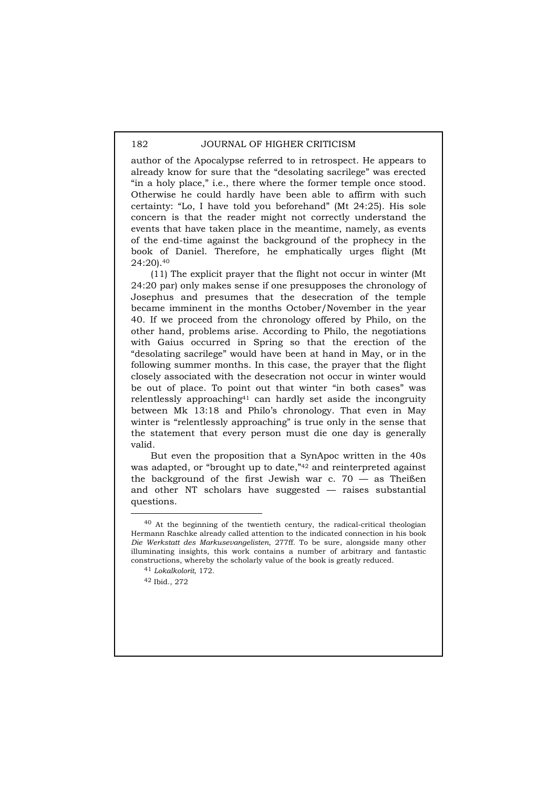author of the Apocalypse referred to in retrospect. He appears to already know for sure that the "desolating sacrilege" was erected "in a holy place," i.e., there where the former temple once stood. Otherwise he could hardly have been able to affirm with such certainty: "Lo, I have told you beforehand" (Mt 24:25). His sole concern is that the reader might not correctly understand the events that have taken place in the meantime, namely, as events of the end-time against the background of the prophecy in the book of Daniel. Therefore, he emphatically urges flight (Mt 24:20).40

(11) The explicit prayer that the flight not occur in winter (Mt 24:20 par) only makes sense if one presupposes the chronology of Josephus and presumes that the desecration of the temple became imminent in the months October/November in the year 40. If we proceed from the chronology offered by Philo, on the other hand, problems arise. According to Philo, the negotiations with Gaius occurred in Spring so that the erection of the "desolating sacrilege" would have been at hand in May, or in the following summer months. In this case, the prayer that the flight closely associated with the desecration not occur in winter would be out of place. To point out that winter "in both cases" was relentlessly approaching41 can hardly set aside the incongruity between Mk 13:18 and Philo's chronology. That even in May winter is "relentlessly approaching" is true only in the sense that the statement that every person must die one day is generally valid.

But even the proposition that a SynApoc written in the 40s was adapted, or "brought up to date,"<sup>42</sup> and reinterpreted against the background of the first Jewish war c.  $70 -$  as Theißen and other NT scholars have suggested — raises substantial questions.

 <sup>40</sup> At the beginning of the twentieth century, the radical-critical theologian Hermann Raschke already called attention to the indicated connection in his book *Die Werkstatt des Markusevangelisten*, 277ff. To be sure, alongside many other illuminating insights, this work contains a number of arbitrary and fantastic constructions, whereby the scholarly value of the book is greatly reduced.

<sup>41</sup> *Lokalkolorit*, 172.

<sup>42</sup> Ibid., 272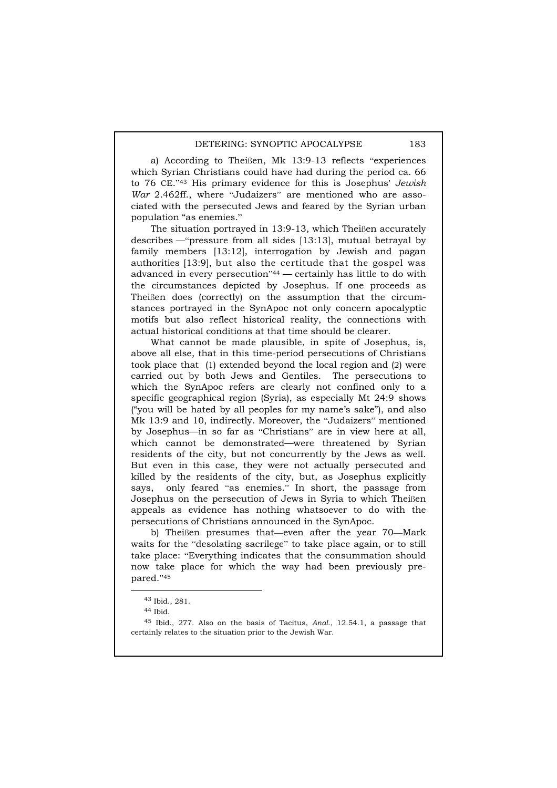a) According to Theißen, Mk 13:9-13 reflects "experiences which Syrian Christians could have had during the period ca. 66 to 76 CE."43 His primary evidence for this is Josephus' *Jewish War* 2.462ff., where "Judaizers" are mentioned who are associated with the persecuted Jews and feared by the Syrian urban population "as enemies."

The situation portrayed in 13:9-13, which Theißen accurately describes —"pressure from all sides [13:13], mutual betrayal by family members [13:12], interrogation by Jewish and pagan authorities [13:9], but also the certitude that the gospel was advanced in every persecution"44 — certainly has little to do with the circumstances depicted by Josephus. If one proceeds as Theißen does (correctly) on the assumption that the circumstances portrayed in the SynApoc not only concern apocalyptic motifs but also reflect historical reality, the connections with actual historical conditions at that time should be clearer.

What cannot be made plausible, in spite of Josephus, is, above all else, that in this time-period persecutions of Christians took place that (1) extended beyond the local region and (2) were carried out by both Jews and Gentiles. The persecutions to which the SynApoc refers are clearly not confined only to a specific geographical region (Syria), as especially Mt 24:9 shows ("you will be hated by all peoples for my name's sake"), and also Mk 13:9 and 10, indirectly. Moreover, the "Judaizers" mentioned by Josephus—in so far as "Christians" are in view here at all, which cannot be demonstrated—were threatened by Syrian residents of the city, but not concurrently by the Jews as well. But even in this case, they were not actually persecuted and killed by the residents of the city, but, as Josephus explicitly says, only feared "as enemies." In short, the passage from Josephus on the persecution of Jews in Syria to which Theißen appeals as evidence has nothing whatsoever to do with the persecutions of Christians announced in the SynApoc.

b) Theißen presumes that—even after the year 70—Mark waits for the "desolating sacrilege" to take place again, or to still take place: "Everything indicates that the consummation should now take place for which the way had been previously prepared."<sup>45</sup>

 <sup>43</sup> Ibid., 281.

<sup>44</sup> Ibid.

<sup>45</sup> Ibid., 277. Also on the basis of Tacitus, *Anal*., 12.54.1, a passage that certainly relates to the situation prior to the Jewish War.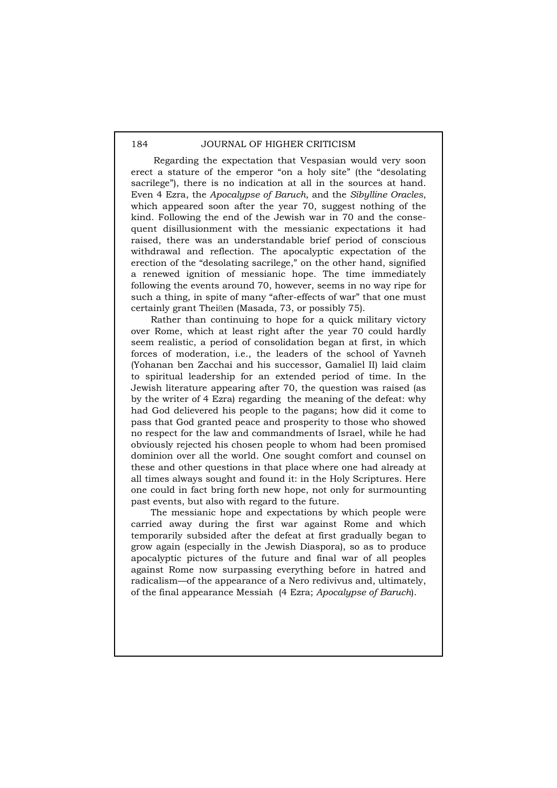Regarding the expectation that Vespasian would very soon erect a stature of the emperor "on a holy site" (the "desolating sacrilege"), there is no indication at all in the sources at hand. Even 4 Ezra, the *Apocalypse of Baruch*, and the *Sibylline Oracles*, which appeared soon after the year 70, suggest nothing of the kind. Following the end of the Jewish war in 70 and the consequent disillusionment with the messianic expectations it had raised, there was an understandable brief period of conscious withdrawal and reflection. The apocalyptic expectation of the erection of the "desolating sacrilege," on the other hand, signified a renewed ignition of messianic hope. The time immediately following the events around 70, however, seems in no way ripe for such a thing, in spite of many "after-effects of war" that one must certainly grant Theißen (Masada, 73, or possibly 75).

Rather than continuing to hope for a quick military victory over Rome, which at least right after the year 70 could hardly seem realistic, a period of consolidation began at first, in which forces of moderation, i.e., the leaders of the school of Yavneh (Yohanan ben Zacchai and his successor, Gamaliel II) laid claim to spiritual leadership for an extended period of time. In the Jewish literature appearing after 70, the question was raised (as by the writer of 4 Ezra) regarding the meaning of the defeat: why had God delievered his people to the pagans; how did it come to pass that God granted peace and prosperity to those who showed no respect for the law and commandments of Israel, while he had obviously rejected his chosen people to whom had been promised dominion over all the world. One sought comfort and counsel on these and other questions in that place where one had already at all times always sought and found it: in the Holy Scriptures. Here one could in fact bring forth new hope, not only for surmounting past events, but also with regard to the future.

The messianic hope and expectations by which people were carried away during the first war against Rome and which temporarily subsided after the defeat at first gradually began to grow again (especially in the Jewish Diaspora), so as to produce apocalyptic pictures of the future and final war of all peoples against Rome now surpassing everything before in hatred and radicalism—of the appearance of a Nero redivivus and, ultimately, of the final appearance Messiah (4 Ezra; *Apocalypse of Baruch*).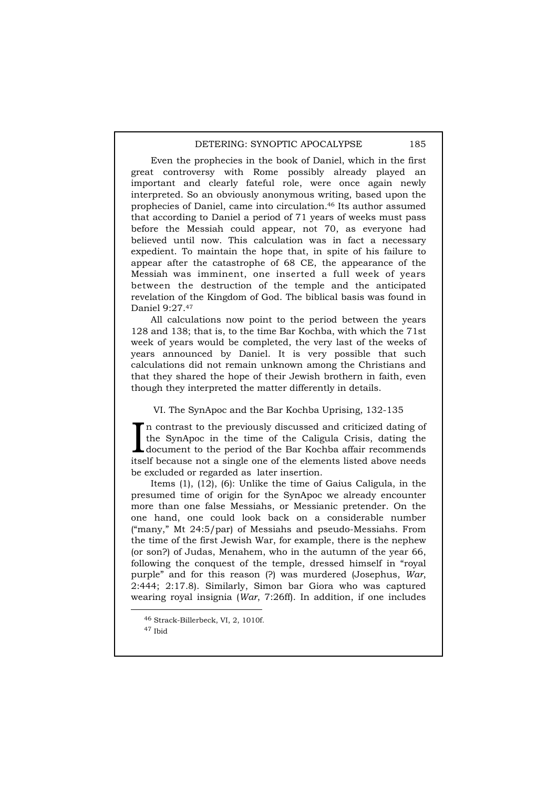Even the prophecies in the book of Daniel, which in the first great controversy with Rome possibly already played an important and clearly fateful role, were once again newly interpreted. So an obviously anonymous writing, based upon the prophecies of Daniel, came into circulation.46 Its author assumed that according to Daniel a period of 71 years of weeks must pass before the Messiah could appear, not 70, as everyone had believed until now. This calculation was in fact a necessary expedient. To maintain the hope that, in spite of his failure to appear after the catastrophe of 68 CE, the appearance of the Messiah was imminent, one inserted a full week of years between the destruction of the temple and the anticipated revelation of the Kingdom of God. The biblical basis was found in Daniel 9:27.47

All calculations now point to the period between the years 128 and 138; that is, to the time Bar Kochba, with which the 71st week of years would be completed, the very last of the weeks of years announced by Daniel. It is very possible that such calculations did not remain unknown among the Christians and that they shared the hope of their Jewish brothern in faith, even though they interpreted the matter differently in details.

VI. The SynApoc and the Bar Kochba Uprising, 132-135

n contrast to the previously discussed and criticized dating of the SynApoc in the time of the Caligula Crisis, dating the document to the period of the Bar Kochba affair recommends In contrast to the previously discussed and criticized dating of the SynApoc in the time of the Caligula Crisis, dating the document to the period of the Bar Kochba affair recommends itself because not a single one of the be excluded or regarded as later insertion.

Items (1), (12), (6): Unlike the time of Gaius Caligula, in the presumed time of origin for the SynApoc we already encounter more than one false Messiahs, or Messianic pretender. On the one hand, one could look back on a considerable number ("many," Mt 24:5/par) of Messiahs and pseudo-Messiahs. From the time of the first Jewish War, for example, there is the nephew (or son?) of Judas, Menahem, who in the autumn of the year 66, following the conquest of the temple, dressed himself in "royal purple" and for this reason (?) was murdered (Josephus, *War*, 2:444; 2:17.8). Similarly, Simon bar Giora who was captured wearing royal insignia (*War*, 7:26ff). In addition, if one includes

 <sup>46</sup> Strack-Billerbeck, VI, 2, 1010f.

<sup>47</sup> Ibid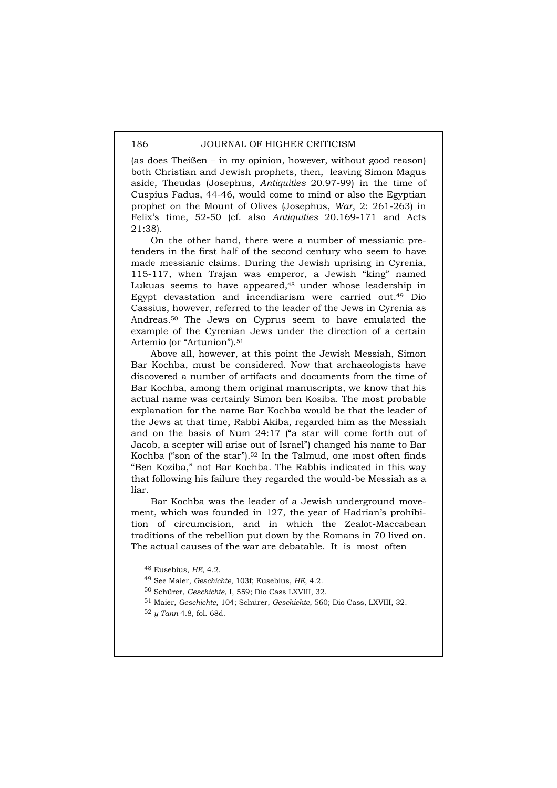(as does Theißen – in my opinion, however, without good reason) both Christian and Jewish prophets, then, leaving Simon Magus aside, Theudas (Josephus, *Antiquities* 20.97-99) in the time of Cuspius Fadus, 44-46, would come to mind or also the Egyptian prophet on the Mount of Olives (Josephus, *War*, 2: 261-263) in Felix's time, 52-50 (cf. also *Antiquities* 20.169-171 and Acts 21:38).

On the other hand, there were a number of messianic pretenders in the first half of the second century who seem to have made messianic claims. During the Jewish uprising in Cyrenia, 115-117, when Trajan was emperor, a Jewish "king" named Lukuas seems to have appeared,<sup>48</sup> under whose leadership in Egypt devastation and incendiarism were carried out.49 Dio Cassius, however, referred to the leader of the Jews in Cyrenia as Andreas.50 The Jews on Cyprus seem to have emulated the example of the Cyrenian Jews under the direction of a certain Artemio (or "Artunion").<sup>51</sup>

Above all, however, at this point the Jewish Messiah, Simon Bar Kochba, must be considered. Now that archaeologists have discovered a number of artifacts and documents from the time of Bar Kochba, among them original manuscripts, we know that his actual name was certainly Simon ben Kosiba. The most probable explanation for the name Bar Kochba would be that the leader of the Jews at that time, Rabbi Akiba, regarded him as the Messiah and on the basis of Num 24:17 ("a star will come forth out of Jacob, a scepter will arise out of Israel") changed his name to Bar Kochba ("son of the star").52 In the Talmud, one most often finds "Ben Koziba," not Bar Kochba. The Rabbis indicated in this way that following his failure they regarded the would-be Messiah as a liar.

Bar Kochba was the leader of a Jewish underground movement, which was founded in 127, the year of Hadrian's prohibition of circumcision, and in which the Zealot-Maccabean traditions of the rebellion put down by the Romans in 70 lived on. The actual causes of the war are debatable. It is most often

 <sup>48</sup> Eusebius, *HE*, 4.2.

<sup>49</sup> See Maier, *Geschichte*, 103f; Eusebius, *HE*, 4.2.

<sup>50</sup> Schürer, *Geschichte*, I, 559; Dio Cass LXVIII, 32.

<sup>51</sup> Maier, *Geschichte*, 104; Schürer, *Geschichte*, 560; Dio Cass, LXVIII, 32.

<sup>52</sup> *y Tann* 4.8, fol. 68d.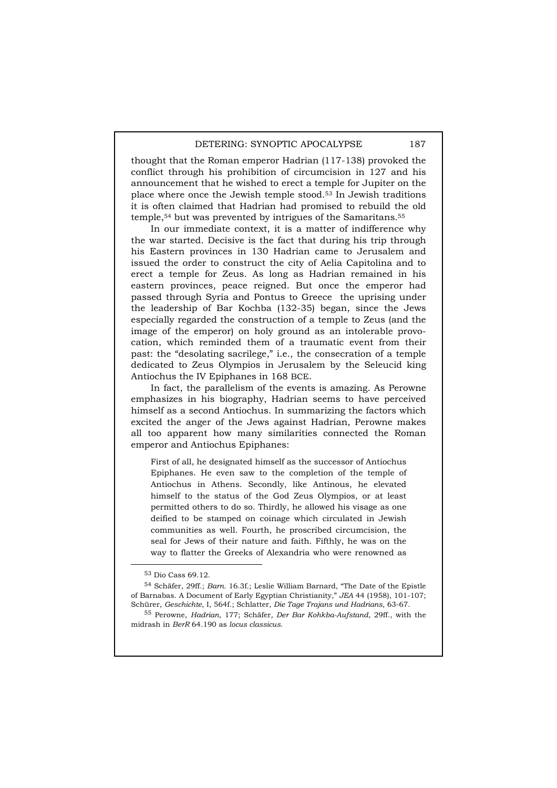thought that the Roman emperor Hadrian (117-138) provoked the conflict through his prohibition of circumcision in 127 and his announcement that he wished to erect a temple for Jupiter on the place where once the Jewish temple stood.53 In Jewish traditions it is often claimed that Hadrian had promised to rebuild the old temple,<sup>54</sup> but was prevented by intrigues of the Samaritans.<sup>55</sup>

In our immediate context, it is a matter of indifference why the war started. Decisive is the fact that during his trip through his Eastern provinces in 130 Hadrian came to Jerusalem and issued the order to construct the city of Aelia Capitolina and to erect a temple for Zeus. As long as Hadrian remained in his eastern provinces, peace reigned. But once the emperor had passed through Syria and Pontus to Greece the uprising under the leadership of Bar Kochba (132-35) began, since the Jews especially regarded the construction of a temple to Zeus (and the image of the emperor) on holy ground as an intolerable provocation, which reminded them of a traumatic event from their past: the "desolating sacrilege," i.e., the consecration of a temple dedicated to Zeus Olympios in Jerusalem by the Seleucid king Antiochus the IV Epiphanes in 168 BCE.

In fact, the parallelism of the events is amazing. As Perowne emphasizes in his biography, Hadrian seems to have perceived himself as a second Antiochus. In summarizing the factors which excited the anger of the Jews against Hadrian, Perowne makes all too apparent how many similarities connected the Roman emperor and Antiochus Epiphanes:

First of all, he designated himself as the successor of Antiochus Epiphanes. He even saw to the completion of the temple of Antiochus in Athens. Secondly, like Antinous, he elevated himself to the status of the God Zeus Olympios, or at least permitted others to do so. Thirdly, he allowed his visage as one deified to be stamped on coinage which circulated in Jewish communities as well. Fourth, he proscribed circumcision, the seal for Jews of their nature and faith. Fifthly, he was on the way to flatter the Greeks of Alexandria who were renowned as

 <sup>53</sup> Dio Cass 69.12.

<sup>54</sup> Schäfer, 29ff.; *Barn.* 16.3f.; Leslie William Barnard, "The Date of the Epistle of Barnabas. A Document of Early Egyptian Christianity," *JEA* 44 (1958), 101-107; Schürer, *Geschichte*, I, 564f.; Schlatter, *Die Tage Trajans und Hadrians*, 63-67.

<sup>55</sup> Perowne, *Hadrian*, 177; Schäfer*, Der Bar Kohkba-Aufstand*, 29ff., with the midrash in *BerR* 64.190 as *locus classicus*.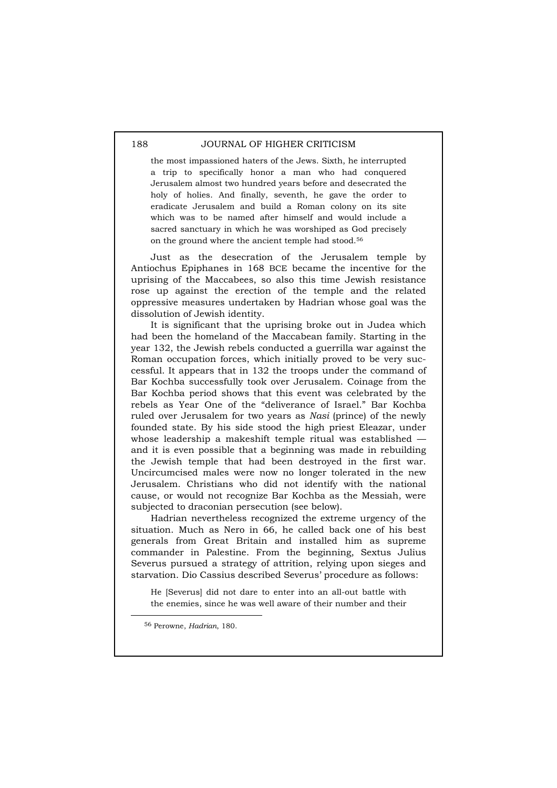the most impassioned haters of the Jews. Sixth, he interrupted a trip to specifically honor a man who had conquered Jerusalem almost two hundred years before and desecrated the holy of holies. And finally, seventh, he gave the order to eradicate Jerusalem and build a Roman colony on its site which was to be named after himself and would include a sacred sanctuary in which he was worshiped as God precisely on the ground where the ancient temple had stood.56

Just as the desecration of the Jerusalem temple by Antiochus Epiphanes in 168 BCE became the incentive for the uprising of the Maccabees, so also this time Jewish resistance rose up against the erection of the temple and the related oppressive measures undertaken by Hadrian whose goal was the dissolution of Jewish identity.

It is significant that the uprising broke out in Judea which had been the homeland of the Maccabean family. Starting in the year 132, the Jewish rebels conducted a guerrilla war against the Roman occupation forces, which initially proved to be very successful. It appears that in 132 the troops under the command of Bar Kochba successfully took over Jerusalem. Coinage from the Bar Kochba period shows that this event was celebrated by the rebels as Year One of the "deliverance of Israel." Bar Kochba ruled over Jerusalem for two years as *Nasi* (prince) of the newly founded state. By his side stood the high priest Eleazar, under whose leadership a makeshift temple ritual was established and it is even possible that a beginning was made in rebuilding the Jewish temple that had been destroyed in the first war. Uncircumcised males were now no longer tolerated in the new Jerusalem. Christians who did not identify with the national cause, or would not recognize Bar Kochba as the Messiah, were subjected to draconian persecution (see below).

Hadrian nevertheless recognized the extreme urgency of the situation. Much as Nero in 66, he called back one of his best generals from Great Britain and installed him as supreme commander in Palestine. From the beginning, Sextus Julius Severus pursued a strategy of attrition, relying upon sieges and starvation. Dio Cassius described Severus' procedure as follows:

He [Severus] did not dare to enter into an all-out battle with the enemies, since he was well aware of their number and their

56 Perowne, *Hadrian*, 180.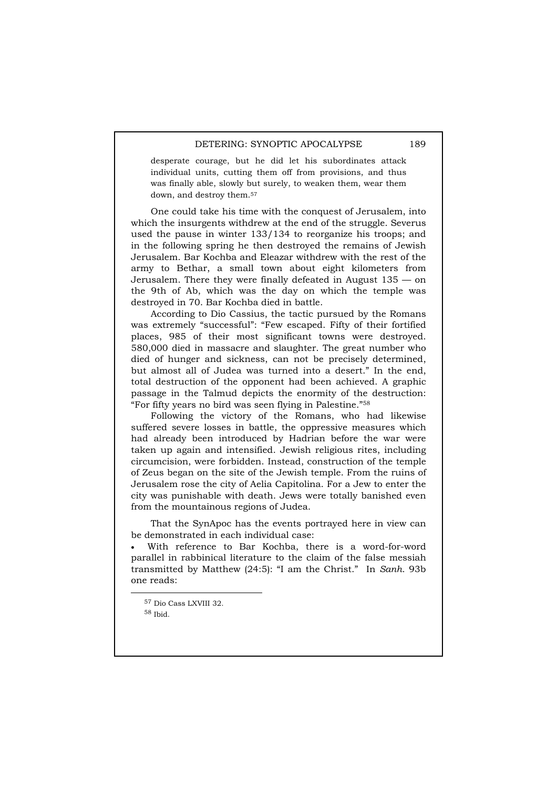desperate courage, but he did let his subordinates attack individual units, cutting them off from provisions, and thus was finally able, slowly but surely, to weaken them, wear them down, and destroy them.57

One could take his time with the conquest of Jerusalem, into which the insurgents withdrew at the end of the struggle. Severus used the pause in winter 133/134 to reorganize his troops; and in the following spring he then destroyed the remains of Jewish Jerusalem. Bar Kochba and Eleazar withdrew with the rest of the army to Bethar, a small town about eight kilometers from Jerusalem. There they were finally defeated in August 135 — on the 9th of Ab, which was the day on which the temple was destroyed in 70. Bar Kochba died in battle.

According to Dio Cassius, the tactic pursued by the Romans was extremely "successful": "Few escaped. Fifty of their fortified places, 985 of their most significant towns were destroyed. 580,000 died in massacre and slaughter. The great number who died of hunger and sickness, can not be precisely determined, but almost all of Judea was turned into a desert." In the end, total destruction of the opponent had been achieved. A graphic passage in the Talmud depicts the enormity of the destruction: "For fifty years no bird was seen flying in Palestine."58

Following the victory of the Romans, who had likewise suffered severe losses in battle, the oppressive measures which had already been introduced by Hadrian before the war were taken up again and intensified. Jewish religious rites, including circumcision, were forbidden. Instead, construction of the temple of Zeus began on the site of the Jewish temple. From the ruins of Jerusalem rose the city of Aelia Capitolina. For a Jew to enter the city was punishable with death. Jews were totally banished even from the mountainous regions of Judea.

That the SynApoc has the events portrayed here in view can be demonstrated in each individual case:

With reference to Bar Kochba, there is a word-for-word parallel in rabbinical literature to the claim of the false messiah transmitted by Matthew (24:5): "I am the Christ." In *Sanh*. 93b one reads:

 57 Dio Cass LXVIII 32. 58 Ibid.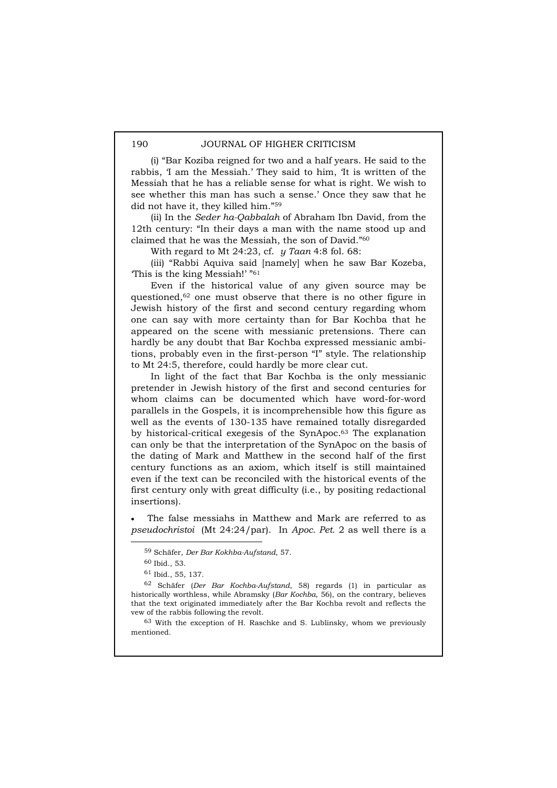(i) "Bar Koziba reigned for two and a half years. He said to the rabbis, 'I am the Messiah.' They said to him, 'It is written of the Messiah that he has a reliable sense for what is right. We wish to see whether this man has such a sense.' Once they saw that he did not have it, they killed him."59

(ii) In the *Seder ha-Qabbalah* of Abraham Ibn David, from the 12th century: "In their days a man with the name stood up and claimed that he was the Messiah, the son of David."60

With regard to Mt 24:23, cf. *y Taan* 4:8 fol. 68:

(iii) "Rabbi Aquiva said [namely] when he saw Bar Kozeba, 'This is the king Messiah!' "61

Even if the historical value of any given source may be questioned,62 one must observe that there is no other figure in Jewish history of the first and second century regarding whom one can say with more certainty than for Bar Kochba that he appeared on the scene with messianic pretensions. There can hardly be any doubt that Bar Kochba expressed messianic ambitions, probably even in the first-person "I" style. The relationship to Mt 24:5, therefore, could hardly be more clear cut.

In light of the fact that Bar Kochba is the only messianic pretender in Jewish history of the first and second centuries for whom claims can be documented which have word-for-word parallels in the Gospels, it is incomprehensible how this figure as well as the events of 130-135 have remained totally disregarded by historical-critical exegesis of the SynApoc.63 The explanation can only be that the interpretation of the SynApoc on the basis of the dating of Mark and Matthew in the second half of the first century functions as an axiom, which itself is still maintained even if the text can be reconciled with the historical events of the first century only with great difficulty (i.e., by positing redactional insertions).

The false messiahs in Matthew and Mark are referred to as *pseudochristoi* (Mt 24:24/par). In *Apoc. Pet.* 2 as well there is a

 <sup>59</sup> Schäfer, *Der Bar Kokhba-Aufstand*, 57.

<sup>60</sup> Ibid., 53.

<sup>61</sup> Ibid., 55, 137.

<sup>62</sup> Schäfer (*Der Bar Kochba-Aufstand*, 58) regards (1) in particular as historically worthless, while Abramsky (*Bar Kochba*, 56), on the contrary, believes that the text originated immediately after the Bar Kochba revolt and reflects the vew of the rabbis following the revolt.

<sup>63</sup> With the exception of H. Raschke and S. Lublinsky, whom we previously mentioned.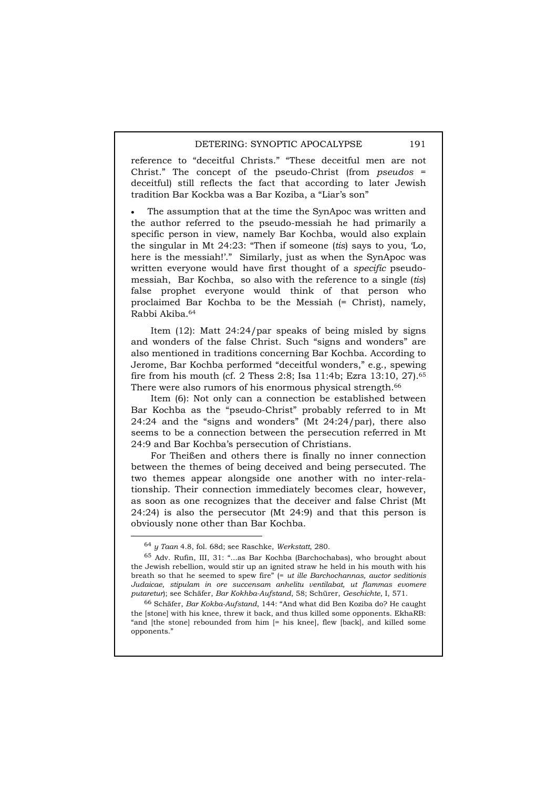reference to "deceitful Christs." "These deceitful men are not Christ." The concept of the pseudo-Christ (from *pseudos* = deceitful) still reflects the fact that according to later Jewish tradition Bar Kockba was a Bar Koziba, a "Liar's son"

The assumption that at the time the SynApoc was written and the author referred to the pseudo-messiah he had primarily a specific person in view, namely Bar Kochba, would also explain the singular in Mt 24:23: "Then if someone (*tis*) says to you, 'Lo, here is the messiah!'." Similarly, just as when the SynApoc was written everyone would have first thought of a *specific* pseudomessiah, Bar Kochba, so also with the reference to a single (*tis*) false prophet everyone would think of that person who proclaimed Bar Kochba to be the Messiah (= Christ), namely, Rabbi Akiba.64

Item (12): Matt 24:24/par speaks of being misled by signs and wonders of the false Christ. Such "signs and wonders" are also mentioned in traditions concerning Bar Kochba. According to Jerome, Bar Kochba performed "deceitful wonders," e.g., spewing fire from his mouth (cf. 2 Thess 2:8; Isa 11:4b; Ezra 13:10, 27).65 There were also rumors of his enormous physical strength.<sup>66</sup>

Item (6): Not only can a connection be established between Bar Kochba as the "pseudo-Christ" probably referred to in Mt 24:24 and the "signs and wonders" (Mt 24:24/par), there also seems to be a connection between the persecution referred in Mt 24:9 and Bar Kochba's persecution of Christians.

For Theißen and others there is finally no inner connection between the themes of being deceived and being persecuted. The two themes appear alongside one another with no inter-relationship. Their connection immediately becomes clear, however, as soon as one recognizes that the deceiver and false Christ (Mt 24:24) is also the persecutor (Mt 24:9) and that this person is obviously none other than Bar Kochba.

 <sup>64</sup> *y Taan* 4.8, fol. 68d; see Raschke, *Werkstatt*, 280.

<sup>65</sup> Adv. Rufin, III, 31: "...as Bar Kochba (Barchochabas), who brought about the Jewish rebellion, would stir up an ignited straw he held in his mouth with his breath so that he seemed to spew fire" (= *ut ille Barchochannas, auctor seditionis Judaicae, stipulam in ore succensam anhelitu ventilabat, ut flammas evomere putaretur*); see Schäfer, *Bar Kokhba-Aufstand*, 58; Schürer, *Geschichte*, I, 571.

<sup>66</sup> Schäfer, *Bar Kokba-Aufstand*, 144: "And what did Ben Koziba do? He caught the [stone] with his knee, threw it back, and thus killed some opponents. EkhaRB: "and [the stone] rebounded from him [= his knee], flew [back], and killed some opponents."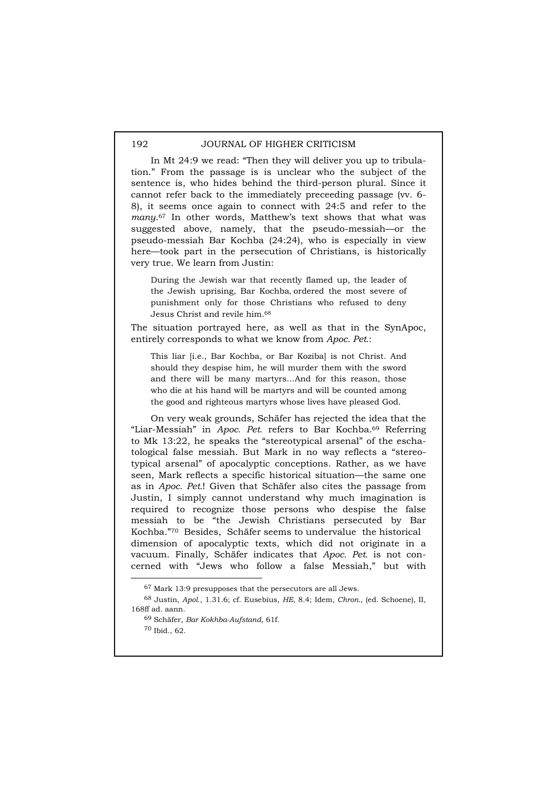In Mt 24:9 we read: "Then they will deliver you up to tribulation." From the passage is is unclear who the subject of the sentence is, who hides behind the third-person plural. Since it cannot refer back to the immediately preceeding passage (vv. 6- 8), it seems once again to connect with 24:5 and refer to the *many*.67 In other words, Matthew's text shows that what was suggested above, namely, that the pseudo-messiah—or the pseudo-messiah Bar Kochba (24:24), who is especially in view here—took part in the persecution of Christians, is historically very true. We learn from Justin:

During the Jewish war that recently flamed up, the leader of the Jewish uprising, Bar Kochba, ordered the most severe of punishment only for those Christians who refused to deny Jesus Christ and revile him.68

The situation portrayed here, as well as that in the SynApoc, entirely corresponds to what we know from *Apoc. Pet.*:

This liar [i.e., Bar Kochba, or Bar Koziba] is not Christ. And should they despise him, he will murder them with the sword and there will be many martyrs…And for this reason, those who die at his hand will be martyrs and will be counted among the good and righteous martyrs whose lives have pleased God.

On very weak grounds, Schäfer has rejected the idea that the "Liar-Messiah" in *Apoc. Pet.* refers to Bar Kochba.69 Referring to Mk 13:22, he speaks the "stereotypical arsenal" of the eschatological false messiah. But Mark in no way reflects a "stereotypical arsenal" of apocalyptic conceptions. Rather, as we have seen, Mark reflects a specific historical situation—the same one as in *Apoc. Pet.*! Given that Schäfer also cites the passage from Justin, I simply cannot understand why much imagination is required to recognize those persons who despise the false messiah to be "the Jewish Christians persecuted by Bar Kochba."70 Besides, Schäfer seems to undervalue the historical dimension of apocalyptic texts, which did not originate in a vacuum. Finally, Schäfer indicates that *Apoc. Pet.* is not concerned with "Jews who follow a false Messiah," but with

 <sup>67</sup> Mark 13:9 presupposes that the persecutors are all Jews.

<sup>68</sup> Justin, *Apol*., 1.31.6; cf. Eusebius, *HE*, 8.4; Idem, *Chron.*, (ed. Schoene), II, 168ff ad. aann.

<sup>69</sup> Schäfer, *Bar Kokhba-Aufstand*, 61f. 70 Ibid., 62.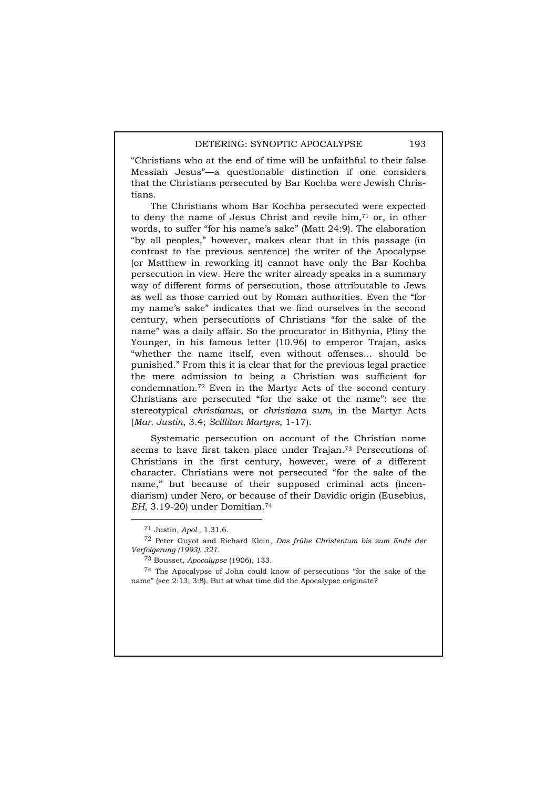"Christians who at the end of time will be unfaithful to their false Messiah Jesus"—a questionable distinction if one considers that the Christians persecuted by Bar Kochba were Jewish Christians.

The Christians whom Bar Kochba persecuted were expected to deny the name of Jesus Christ and revile him,<sup>71</sup> or, in other words, to suffer "for his name's sake" (Matt 24:9). The elaboration "by all peoples," however, makes clear that in this passage (in contrast to the previous sentence) the writer of the Apocalypse (or Matthew in reworking it) cannot have only the Bar Kochba persecution in view. Here the writer already speaks in a summary way of different forms of persecution, those attributable to Jews as well as those carried out by Roman authorities. Even the "for my name's sake" indicates that we find ourselves in the second century, when persecutions of Christians "for the sake of the name" was a daily affair. So the procurator in Bithynia, Pliny the Younger, in his famous letter (10.96) to emperor Trajan, asks "whether the name itself, even without offenses... should be punished." From this it is clear that for the previous legal practice the mere admission to being a Christian was sufficient for condemnation.72 Even in the Martyr Acts of the second century Christians are persecuted "for the sake ot the name": see the stereotypical *christianus*, or *christiana sum*, in the Martyr Acts (*Mar. Justin*, 3.4; *Scillitan Martyrs*, 1-17).

Systematic persecution on account of the Christian name seems to have first taken place under Trajan.73 Persecutions of Christians in the first century, however, were of a different character. Christians were not persecuted "for the sake of the name," but because of their supposed criminal acts (incendiarism) under Nero, or because of their Davidic origin (Eusebius, *EH*, 3.19-20) under Domitian.74

 <sup>71</sup> Justin, *Apol.*, 1.31.6.

<sup>72</sup> Peter Guyot and Richard Klein, *Das frühe Christentum bis zum Ende der Verfolgerung (1993), 321.* 

<sup>73</sup> Bousset, *Apocalypse* (1906), 133.

<sup>74</sup> The Apocalypse of John could know of persecutions "for the sake of the name" (see 2:13; 3:8). But at what time did the Apocalypse originate?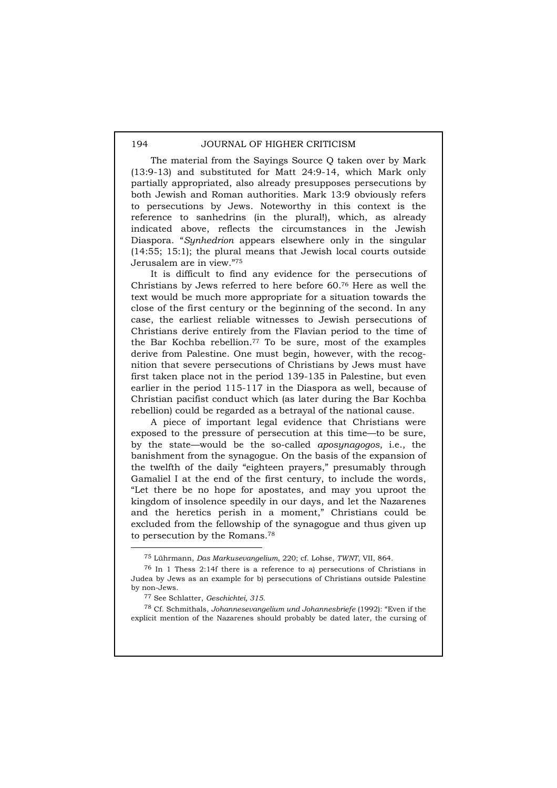The material from the Sayings Source Q taken over by Mark (13:9-13) and substituted for Matt 24:9-14, which Mark only partially appropriated, also already presupposes persecutions by both Jewish and Roman authorities. Mark 13:9 obviously refers to persecutions by Jews. Noteworthy in this context is the reference to sanhedrins (in the plural!), which, as already indicated above, reflects the circumstances in the Jewish Diaspora. "*Synhedrion* appears elsewhere only in the singular (14:55; 15:1); the plural means that Jewish local courts outside Jerusalem are in view."75

It is difficult to find any evidence for the persecutions of Christians by Jews referred to here before 60.76 Here as well the text would be much more appropriate for a situation towards the close of the first century or the beginning of the second. In any case, the earliest reliable witnesses to Jewish persecutions of Christians derive entirely from the Flavian period to the time of the Bar Kochba rebellion.77 To be sure, most of the examples derive from Palestine. One must begin, however, with the recognition that severe persecutions of Christians by Jews must have first taken place not in the period 139-135 in Palestine, but even earlier in the period 115-117 in the Diaspora as well, because of Christian pacifist conduct which (as later during the Bar Kochba rebellion) could be regarded as a betrayal of the national cause.

A piece of important legal evidence that Christians were exposed to the pressure of persecution at this time—to be sure, by the state—would be the so-called *aposynagogos*, i.e., the banishment from the synagogue. On the basis of the expansion of the twelfth of the daily "eighteen prayers," presumably through Gamaliel I at the end of the first century, to include the words, "Let there be no hope for apostates, and may you uproot the kingdom of insolence speedily in our days, and let the Nazarenes and the heretics perish in a moment," Christians could be excluded from the fellowship of the synagogue and thus given up to persecution by the Romans.78

 <sup>75</sup> Lührmann, *Das Markusevangelium*, 220; cf. Lohse, *TWNT*, VII, 864.

<sup>76</sup> In 1 Thess 2:14f there is a reference to a) persecutions of Christians in Judea by Jews as an example for b) persecutions of Christians outside Palestine by non-Jews.

<sup>77</sup> See Schlatter, *Geschichtei, 315.* 

<sup>78</sup> Cf. Schmithals, *Johannesevangelium und Johannesbriefe* (1992): "Even if the explicit mention of the Nazarenes should probably be dated later, the cursing of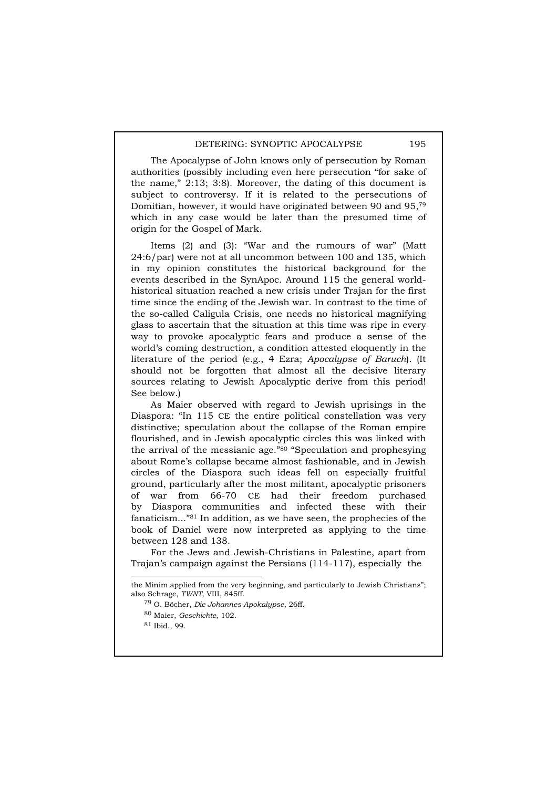The Apocalypse of John knows only of persecution by Roman authorities (possibly including even here persecution "for sake of the name," 2:13; 3:8). Moreover, the dating of this document is subject to controversy. If it is related to the persecutions of Domitian, however, it would have originated between 90 and 95,79 which in any case would be later than the presumed time of origin for the Gospel of Mark.

Items (2) and (3): "War and the rumours of war" (Matt 24:6/par) were not at all uncommon between 100 and 135, which in my opinion constitutes the historical background for the events described in the SynApoc. Around 115 the general worldhistorical situation reached a new crisis under Trajan for the first time since the ending of the Jewish war. In contrast to the time of the so-called Caligula Crisis, one needs no historical magnifying glass to ascertain that the situation at this time was ripe in every way to provoke apocalyptic fears and produce a sense of the world's coming destruction, a condition attested eloquently in the literature of the period (e.g., 4 Ezra; *Apocalypse of Baruch*). (It should not be forgotten that almost all the decisive literary sources relating to Jewish Apocalyptic derive from this period! See below.)

As Maier observed with regard to Jewish uprisings in the Diaspora: "In 115 CE the entire political constellation was very distinctive; speculation about the collapse of the Roman empire flourished, and in Jewish apocalyptic circles this was linked with the arrival of the messianic age."80 "Speculation and prophesying about Rome's collapse became almost fashionable, and in Jewish circles of the Diaspora such ideas fell on especially fruitful ground, particularly after the most militant, apocalyptic prisoners of war from 66-70 CE had their freedom purchased by Diaspora communities and infected these with their fanaticism..."81 In addition, as we have seen, the prophecies of the book of Daniel were now interpreted as applying to the time between 128 and 138.

For the Jews and Jewish-Christians in Palestine, apart from Trajan's campaign against the Persians (114-117), especially the

 $\overline{a}$ 

the Minim applied from the very beginning, and particularly to Jewish Christians"; also Schrage, *TWNT*, VIII, 845ff.

<sup>79</sup> O. Böcher, *Die Johannes-Apokalypse*, 26ff.

<sup>80</sup> Maier, *Geschichte*, 102.

<sup>81</sup> Ibid., 99.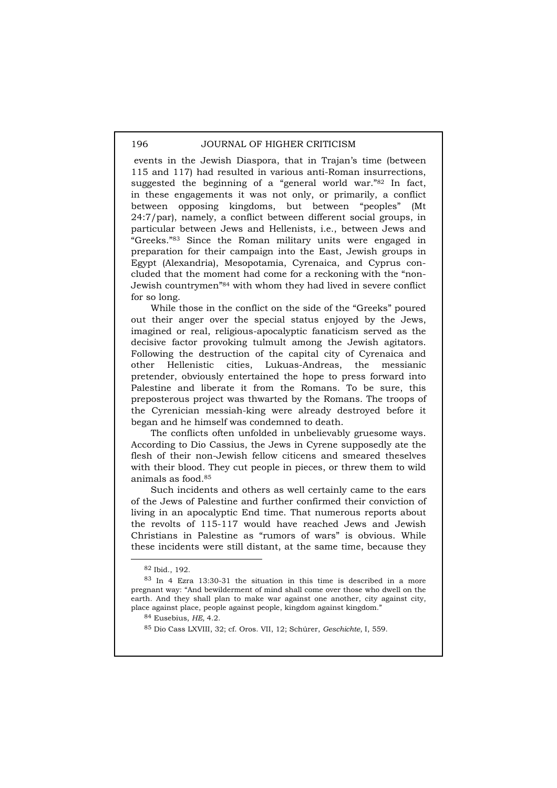events in the Jewish Diaspora, that in Trajan's time (between 115 and 117) had resulted in various anti-Roman insurrections, suggested the beginning of a "general world war."82 In fact, in these engagements it was not only, or primarily, a conflict between opposing kingdoms, but between "peoples" (Mt 24:7/par), namely, a conflict between different social groups, in particular between Jews and Hellenists, i.e., between Jews and "Greeks."83 Since the Roman military units were engaged in preparation for their campaign into the East, Jewish groups in Egypt (Alexandria), Mesopotamia, Cyrenaica, and Cyprus concluded that the moment had come for a reckoning with the "non-Jewish countrymen"84 with whom they had lived in severe conflict for so long.

While those in the conflict on the side of the "Greeks" poured out their anger over the special status enjoyed by the Jews, imagined or real, religious-apocalyptic fanaticism served as the decisive factor provoking tulmult among the Jewish agitators. Following the destruction of the capital city of Cyrenaica and other Hellenistic cities, Lukuas-Andreas, the messianic pretender, obviously entertained the hope to press forward into Palestine and liberate it from the Romans. To be sure, this preposterous project was thwarted by the Romans. The troops of the Cyrenician messiah-king were already destroyed before it began and he himself was condemned to death.

The conflicts often unfolded in unbelievably gruesome ways. According to Dio Cassius, the Jews in Cyrene supposedly ate the flesh of their non-Jewish fellow citicens and smeared theselves with their blood. They cut people in pieces, or threw them to wild animals as food.85

Such incidents and others as well certainly came to the ears of the Jews of Palestine and further confirmed their conviction of living in an apocalyptic End time. That numerous reports about the revolts of 115-117 would have reached Jews and Jewish Christians in Palestine as "rumors of wars" is obvious. While these incidents were still distant, at the same time, because they

 <sup>82</sup> Ibid., 192.

<sup>83</sup> In 4 Ezra 13:30-31 the situation in this time is described in a more pregnant way: "And bewilderment of mind shall come over those who dwell on the earth. And they shall plan to make war against one another, city against city, place against place, people against people, kingdom against kingdom."

<sup>84</sup> Eusebius, *HE,* 4.2.

<sup>85</sup> Dio Cass LXVIII, 32; cf. Oros. VII, 12; Schúrer, *Geschichte*, I, 559.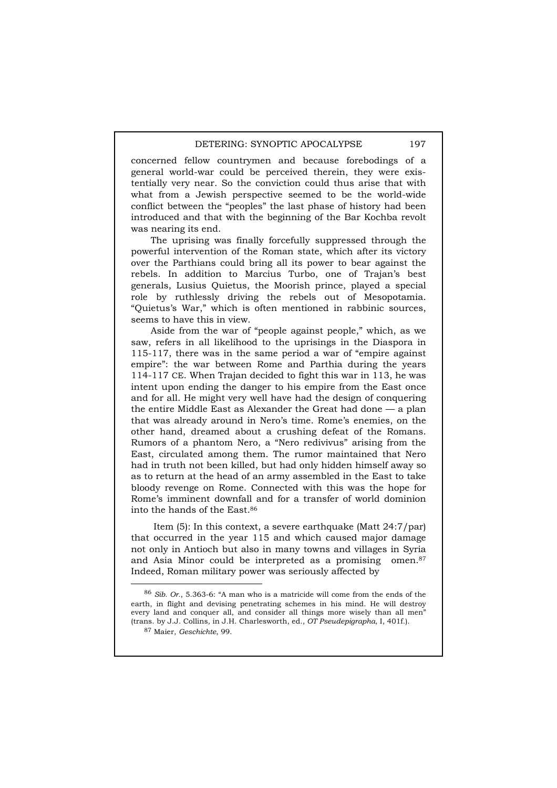concerned fellow countrymen and because forebodings of a general world-war could be perceived therein, they were existentially very near. So the conviction could thus arise that with what from a Jewish perspective seemed to be the world-wide conflict between the "peoples" the last phase of history had been introduced and that with the beginning of the Bar Kochba revolt was nearing its end.

The uprising was finally forcefully suppressed through the powerful intervention of the Roman state, which after its victory over the Parthians could bring all its power to bear against the rebels. In addition to Marcius Turbo, one of Trajan's best generals, Lusius Quietus, the Moorish prince, played a special role by ruthlessly driving the rebels out of Mesopotamia. "Quietus's War," which is often mentioned in rabbinic sources, seems to have this in view.

Aside from the war of "people against people," which, as we saw, refers in all likelihood to the uprisings in the Diaspora in 115-117, there was in the same period a war of "empire against empire": the war between Rome and Parthia during the years 114-117 CE. When Trajan decided to fight this war in 113, he was intent upon ending the danger to his empire from the East once and for all. He might very well have had the design of conquering the entire Middle East as Alexander the Great had done — a plan that was already around in Nero's time. Rome's enemies, on the other hand, dreamed about a crushing defeat of the Romans. Rumors of a phantom Nero, a "Nero redivivus" arising from the East, circulated among them. The rumor maintained that Nero had in truth not been killed, but had only hidden himself away so as to return at the head of an army assembled in the East to take bloody revenge on Rome. Connected with this was the hope for Rome's imminent downfall and for a transfer of world dominion into the hands of the East.86

 Item (5): In this context, a severe earthquake (Matt 24:7/par) that occurred in the year 115 and which caused major damage not only in Antioch but also in many towns and villages in Syria and Asia Minor could be interpreted as a promising omen.87 Indeed, Roman military power was seriously affected by

 <sup>86</sup> *Sib. Or.*, 5.363-6: "A man who is a matricide will come from the ends of the earth, in flight and devising penetrating schemes in his mind. He will destroy every land and conquer all, and consider all things more wisely than all men" (trans. by J.J. Collins, in J.H. Charlesworth, ed., *OT Pseudepigrapha*, I, 401f.).

<sup>87</sup> Maier, *Geschichte*, 99.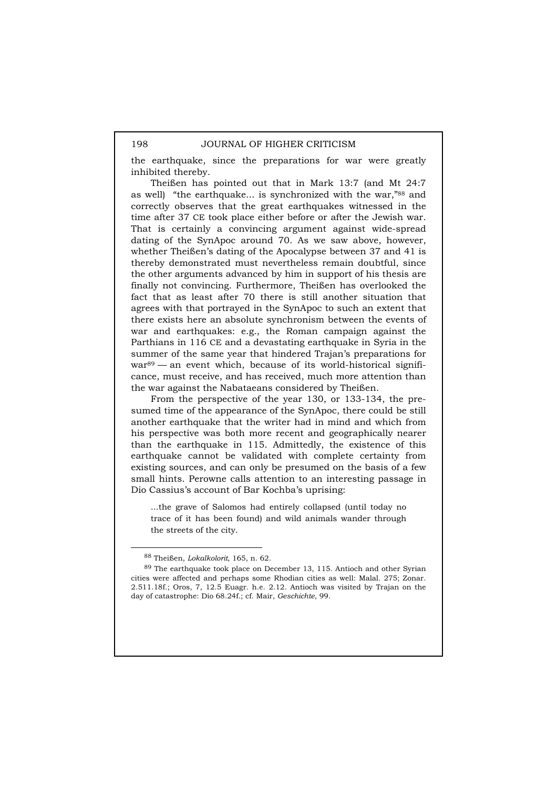the earthquake, since the preparations for war were greatly inhibited thereby.

Theißen has pointed out that in Mark 13:7 (and Mt 24:7 as well) "the earthquake... is synchronized with the war,"88 and correctly observes that the great earthquakes witnessed in the time after 37 CE took place either before or after the Jewish war. That is certainly a convincing argument against wide-spread dating of the SynApoc around 70. As we saw above, however, whether Theißen's dating of the Apocalypse between 37 and 41 is thereby demonstrated must nevertheless remain doubtful, since the other arguments advanced by him in support of his thesis are finally not convincing. Furthermore, Theißen has overlooked the fact that as least after 70 there is still another situation that agrees with that portrayed in the SynApoc to such an extent that there exists here an absolute synchronism between the events of war and earthquakes: e.g., the Roman campaign against the Parthians in 116 CE and a devastating earthquake in Syria in the summer of the same year that hindered Trajan's preparations for war<sup>89</sup> — an event which, because of its world-historical significance, must receive, and has received, much more attention than the war against the Nabataeans considered by Theißen.

From the perspective of the year 130, or 133-134, the presumed time of the appearance of the SynApoc, there could be still another earthquake that the writer had in mind and which from his perspective was both more recent and geographically nearer than the earthquake in 115. Admittedly, the existence of this earthquake cannot be validated with complete certainty from existing sources, and can only be presumed on the basis of a few small hints. Perowne calls attention to an interesting passage in Dio Cassius's account of Bar Kochba's uprising:

...the grave of Salomos had entirely collapsed (until today no trace of it has been found) and wild animals wander through the streets of the city.

 <sup>88</sup> Theißen, *Lokalkolorit*, 165, n. 62.

<sup>89</sup> The earthquake took place on December 13, 115. Antioch and other Syrian cities were affected and perhaps some Rhodian cities as well: Malal. 275; Zonar. 2.511.18f.; Oros, 7, 12.5 Euagr. h.e. 2.12. Antioch was visited by Trajan on the day of catastrophe: Dio 68.24f.; cf. Mair, *Geschichte*, 99.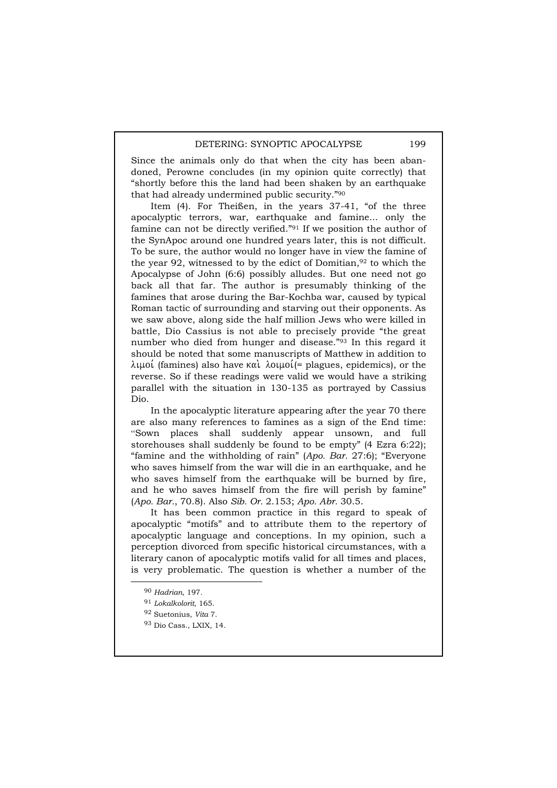Since the animals only do that when the city has been abandoned, Perowne concludes (in my opinion quite correctly) that "shortly before this the land had been shaken by an earthquake that had already undermined public security."90

Item (4). For Theißen, in the years 37-41, "of the three apocalyptic terrors, war, earthquake and famine... only the famine can not be directly verified."91 If we position the author of the SynApoc around one hundred years later, this is not difficult. To be sure, the author would no longer have in view the famine of the year 92, witnessed to by the edict of Domitian,92 to which the Apocalypse of John (6:6) possibly alludes. But one need not go back all that far. The author is presumably thinking of the famines that arose during the Bar-Kochba war, caused by typical Roman tactic of surrounding and starving out their opponents. As we saw above, along side the half million Jews who were killed in battle, Dio Cassius is not able to precisely provide "the great number who died from hunger and disease."93 In this regard it should be noted that some manuscripts of Matthew in addition to  $\lambda$ ιμοί (famines) also have και  $\lambda$ οιμοί(= plagues, epidemics), or the reverse. So if these readings were valid we would have a striking parallel with the situation in 130-135 as portrayed by Cassius Dio.

In the apocalyptic literature appearing after the year 70 there are also many references to famines as a sign of the End time: "Sown places shall suddenly appear unsown, and full storehouses shall suddenly be found to be empty" (4 Ezra 6:22); "famine and the withholding of rain" (*Apo. Bar.* 27:6); "Everyone who saves himself from the war will die in an earthquake, and he who saves himself from the earthquake will be burned by fire, and he who saves himself from the fire will perish by famine" (*Apo. Bar.*, 70.8). Also *Sib. Or.* 2.153; *Apo. Abr.* 30.5.

It has been common practice in this regard to speak of apocalyptic "motifs" and to attribute them to the repertory of apocalyptic language and conceptions. In my opinion, such a perception divorced from specific historical circumstances, with a literary canon of apocalyptic motifs valid for all times and places, is very problematic. The question is whether a number of the

 <sup>90</sup> *Hadrian*, 197.

<sup>91</sup> *Lokalkolorit*, 165.

<sup>92</sup> Suetonius, *Vita* 7.

<sup>93</sup> Dio Cass., LXIX, 14.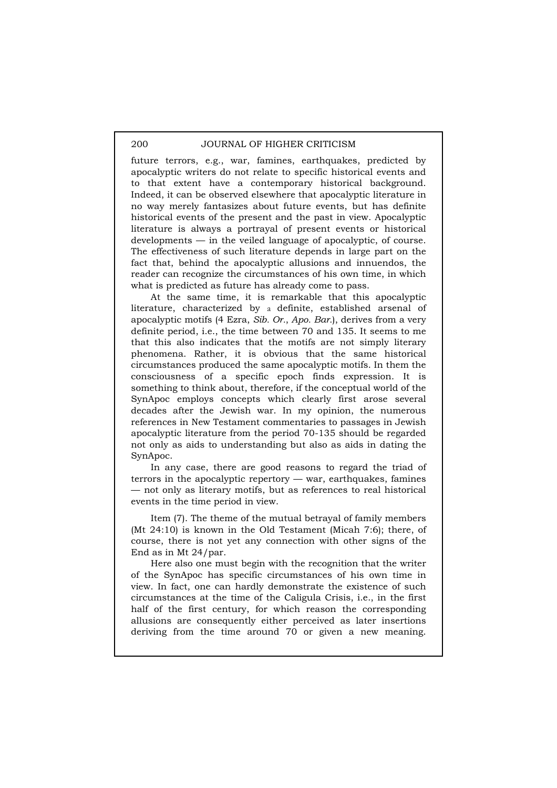future terrors, e.g., war, famines, earthquakes, predicted by apocalyptic writers do not relate to specific historical events and to that extent have a contemporary historical background. Indeed, it can be observed elsewhere that apocalyptic literature in no way merely fantasizes about future events, but has definite historical events of the present and the past in view. Apocalyptic literature is always a portrayal of present events or historical developments — in the veiled language of apocalyptic, of course. The effectiveness of such literature depends in large part on the fact that, behind the apocalyptic allusions and innuendos, the reader can recognize the circumstances of his own time, in which what is predicted as future has already come to pass.

At the same time, it is remarkable that this apocalyptic literature, characterized by a definite, established arsenal of apocalyptic motifs (4 Ezra, *Sib. Or.*, *Apo. Bar.*), derives from a very definite period, i.e., the time between 70 and 135. It seems to me that this also indicates that the motifs are not simply literary phenomena. Rather, it is obvious that the same historical circumstances produced the same apocalyptic motifs. In them the consciousness of a specific epoch finds expression. It is something to think about, therefore, if the conceptual world of the SynApoc employs concepts which clearly first arose several decades after the Jewish war. In my opinion, the numerous references in New Testament commentaries to passages in Jewish apocalyptic literature from the period 70-135 should be regarded not only as aids to understanding but also as aids in dating the SynApoc.

In any case, there are good reasons to regard the triad of terrors in the apocalyptic repertory — war, earthquakes, famines — not only as literary motifs, but as references to real historical events in the time period in view.

Item (7). The theme of the mutual betrayal of family members (Mt 24:10) is known in the Old Testament (Micah 7:6); there, of course, there is not yet any connection with other signs of the End as in Mt 24/par.

Here also one must begin with the recognition that the writer of the SynApoc has specific circumstances of his own time in view. In fact, one can hardly demonstrate the existence of such circumstances at the time of the Caligula Crisis, i.e., in the first half of the first century, for which reason the corresponding allusions are consequently either perceived as later insertions deriving from the time around 70 or given a new meaning.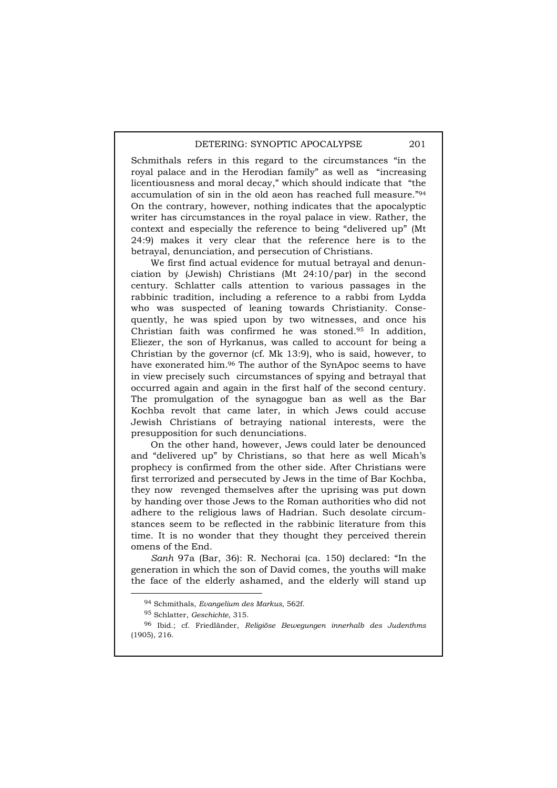Schmithals refers in this regard to the circumstances "in the royal palace and in the Herodian family" as well as "increasing licentiousness and moral decay," which should indicate that "the accumulation of sin in the old aeon has reached full measure."94 On the contrary, however, nothing indicates that the apocalyptic writer has circumstances in the royal palace in view. Rather, the context and especially the reference to being "delivered up" (Mt 24:9) makes it very clear that the reference here is to the betrayal, denunciation, and persecution of Christians.

We first find actual evidence for mutual betrayal and denunciation by (Jewish) Christians (Mt 24:10/par) in the second century. Schlatter calls attention to various passages in the rabbinic tradition, including a reference to a rabbi from Lydda who was suspected of leaning towards Christianity. Consequently, he was spied upon by two witnesses, and once his Christian faith was confirmed he was stoned.95 In addition, Eliezer, the son of Hyrkanus, was called to account for being a Christian by the governor (cf. Mk 13:9), who is said, however, to have exonerated him.96 The author of the SynApoc seems to have in view precisely such circumstances of spying and betrayal that occurred again and again in the first half of the second century. The promulgation of the synagogue ban as well as the Bar Kochba revolt that came later, in which Jews could accuse Jewish Christians of betraying national interests, were the presupposition for such denunciations.

On the other hand, however, Jews could later be denounced and "delivered up" by Christians, so that here as well Micah's prophecy is confirmed from the other side. After Christians were first terrorized and persecuted by Jews in the time of Bar Kochba, they now revenged themselves after the uprising was put down by handing over those Jews to the Roman authorities who did not adhere to the religious laws of Hadrian. Such desolate circumstances seem to be reflected in the rabbinic literature from this time. It is no wonder that they thought they perceived therein omens of the End.

*Sanh* 97a (Bar, 36): R. Nechorai (ca. 150) declared: "In the generation in which the son of David comes, the youths will make the face of the elderly ashamed, and the elderly will stand up

 <sup>94</sup> Schmithals, *Evangelium des Markus*, 562f.

<sup>95</sup> Schlatter, *Geschichte*, 315.

<sup>96</sup> Ibid.; cf. Friedländer, *Religiöse Bewegungen innerhalb des Judenthms* (1905), 216.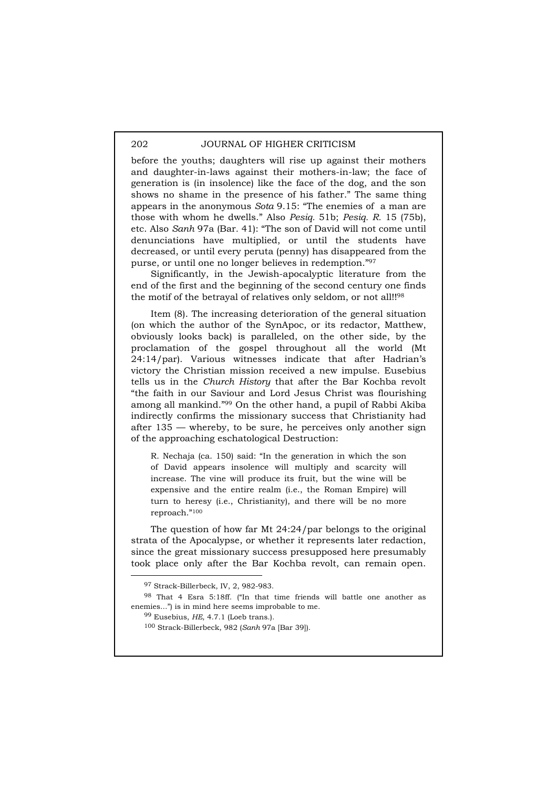before the youths; daughters will rise up against their mothers and daughter-in-laws against their mothers-in-law; the face of generation is (in insolence) like the face of the dog, and the son shows no shame in the presence of his father." The same thing appears in the anonymous *Sota* 9.15: "The enemies of a man are those with whom he dwells." Also *Pesiq.* 51b; *Pesiq. R.* 15 (75b), etc. Also *Sanh* 97a (Bar*.* 41): "The son of David will not come until denunciations have multiplied, or until the students have decreased, or until every peruta (penny) has disappeared from the purse, or until one no longer believes in redemption."97

Significantly, in the Jewish-apocalyptic literature from the end of the first and the beginning of the second century one finds the motif of the betrayal of relatives only seldom, or not all!!98

Item (8). The increasing deterioration of the general situation (on which the author of the SynApoc, or its redactor, Matthew, obviously looks back) is paralleled, on the other side, by the proclamation of the gospel throughout all the world (Mt 24:14/par). Various witnesses indicate that after Hadrian's victory the Christian mission received a new impulse. Eusebius tells us in the *Church History* that after the Bar Kochba revolt "the faith in our Saviour and Lord Jesus Christ was flourishing among all mankind."99 On the other hand, a pupil of Rabbi Akiba indirectly confirms the missionary success that Christianity had after 135 — whereby, to be sure, he perceives only another sign of the approaching eschatological Destruction:

R. Nechaja (ca. 150) said: "In the generation in which the son of David appears insolence will multiply and scarcity will increase. The vine will produce its fruit, but the wine will be expensive and the entire realm (i.e., the Roman Empire) will turn to heresy (i.e., Christianity), and there will be no more reproach."100

The question of how far Mt 24:24/par belongs to the original strata of the Apocalypse, or whether it represents later redaction, since the great missionary success presupposed here presumably took place only after the Bar Kochba revolt, can remain open.

 <sup>97</sup> Strack-Billerbeck, IV, 2, 982-983.

<sup>98</sup> That 4 Esra 5:18ff. ("In that time friends will battle one another as enemies...") is in mind here seems improbable to me.

<sup>99</sup> Eusebius, *HE*, 4.7.1 (Loeb trans.).

<sup>100</sup> Strack-Billerbeck, 982 (*Sanh* 97a [Bar 39]).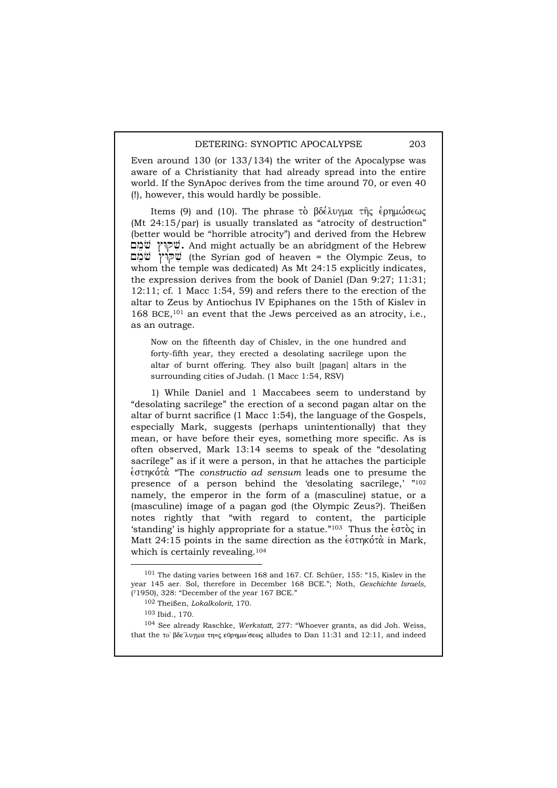Even around 130 (or 133/134) the writer of the Apocalypse was aware of a Christianity that had already spread into the entire world. If the SynApoc derives from the time around 70, or even 40 (!), however, this would hardly be possible.

Items (9) and (10). The phrase το βδέλυγμα της ερημώσεως (Mt 24:15/par) is usually translated as "atrocity of destruction" (better would be "horrible atrocity") and derived from the Hebrew ~mevo #WQvi. And might actually be an abridgment of the Hebrew ~mevo #WQvi (the Syrian god of heaven = the Olympic Zeus, to whom the temple was dedicated) As Mt 24:15 explicitly indicates, the expression derives from the book of Daniel (Dan 9:27; 11:31; 12:11; cf. 1 Macc 1:54, 59) and refers there to the erection of the altar to Zeus by Antiochus IV Epiphanes on the 15th of Kislev in 168 BCE,101 an event that the Jews perceived as an atrocity, i.e., as an outrage.

Now on the fifteenth day of Chislev, in the one hundred and forty-fifth year, they erected a desolating sacrilege upon the altar of burnt offering. They also built [pagan] altars in the surrounding cities of Judah. (1 Macc 1:54, RSV)

1) While Daniel and 1 Maccabees seem to understand by "desolating sacrilege" the erection of a second pagan altar on the altar of burnt sacrifice (1 Macc 1:54), the language of the Gospels, especially Mark, suggests (perhaps unintentionally) that they mean, or have before their eyes, something more specific. As is often observed, Mark 13:14 seems to speak of the "desolating sacrilege" as if it were a person, in that he attaches the participle e`sthko,ta. "The *constructio ad sensum* leads one to presume the presence of a person behind the 'desolating sacrilege,' "102 namely, the emperor in the form of a (masculine) statue, or a (masculine) image of a pagan god (the Olympic Zeus?). Theißen notes rightly that "with regard to content, the participle 'standing' is highly appropriate for a statue."<sup>103</sup> Thus the  $\epsilon \sigma \tau$  oc in Matt 24:15 points in the same direction as the  $\epsilon$ <sup>oth</sup> which in Mark, which is certainly revealing.<sup>104</sup>

 <sup>101</sup> The dating varies between 168 and 167. Cf. Schüer, 155: "15, Kislev in the year 145 aer. Sol, therefore in December 168 BCE."; Noth, *Geschichte Israels*, (71950), 328: "December of the year 167 BCE."

<sup>102</sup> Theißen, *Lokalkolorit*, 170.

<sup>103</sup> Ibid., 170.

<sup>104</sup> See already Raschke, *Werkstatt*, 277: "Whoever grants, as did Joh. Weiss, that the το βδε'λυγμα τη=ς εθρημω'σεως alludes to Dan 11:31 and 12:11, and indeed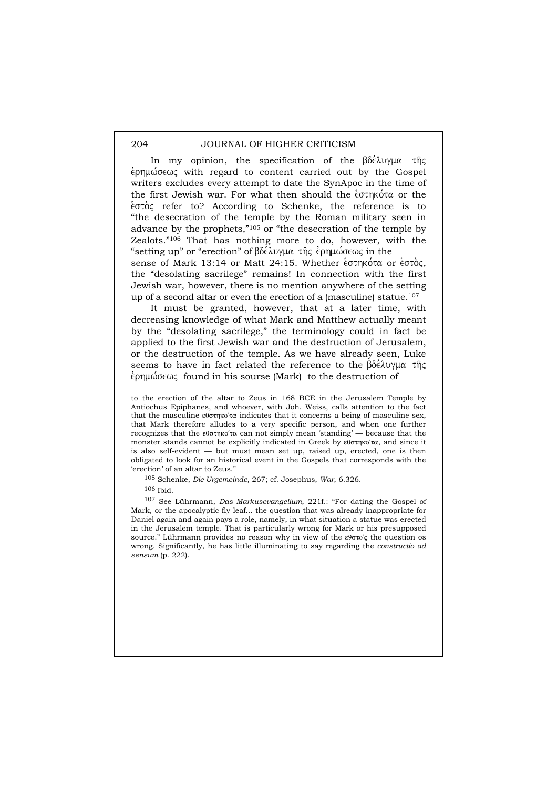In my opinion, the specification of the  $\beta\delta\acute{\epsilon}\lambda\upsilon\gamma\mu\alpha$  the  $\epsilon$ pn $\mu\omega$  $\sigma\epsilon\omega\zeta$  with regard to content carried out by the Gospel writers excludes every attempt to date the SynApoc in the time of the first Jewish war. For what then should the  $\epsilon$ <sup>oth</sup>  $\alpha$  or the  $\frac{1}{2}$  efer to? According to Schenke, the reference is to "the desecration of the temple by the Roman military seen in advance by the prophets,"105 or "the desecration of the temple by Zealots."106 That has nothing more to do, however, with the "setting up" or "erection" of  $\beta\delta\acute{\epsilon}\lambda$ uyu $\alpha$  the epplu $\acute{\omega}$ σεως in the sense of Mark 13:14 or Matt 24:15. Whether  $\epsilon$  othkota or  $\epsilon$  other, the "desolating sacrilege" remains! In connection with the first Jewish war, however, there is no mention anywhere of the setting

It must be granted, however, that at a later time, with decreasing knowledge of what Mark and Matthew actually meant by the "desolating sacrilege," the terminology could in fact be applied to the first Jewish war and the destruction of Jerusalem, or the destruction of the temple. As we have already seen, Luke seems to have in fact related the reference to the  $\beta\delta\acute{\epsilon}\lambda\upsilon\gamma\mu\alpha$  the  $\epsilon$ pημώσεως found in his sourse (Mark) to the destruction of

up of a second altar or even the erection of a (masculine) statue.107

 $\overline{a}$ 

107 See Lührmann, *Das Markusevangelium*, 221f.: "For dating the Gospel of Mark, or the apocalyptic fly-leaf... the question that was already inappropriate for Daniel again and again pays a role, namely, in what situation a statue was erected in the Jerusalem temple. That is particularly wrong for Mark or his presupposed source." Lührmann provides no reason why in view of the  $\epsilon$ 900°; the question os wrong. Significantly, he has little illuminating to say regarding the *constructio ad sensum* (p. 222).

to the erection of the altar to Zeus in 168 BCE in the Jerusalem Temple by Antiochus Epiphanes, and whoever, with Joh. Weiss, calls attention to the fact that the masculine  $\epsilon$ 000thxo' $\alpha$  indicates that it concerns a being of masculine sex, that Mark therefore alludes to a very specific person, and when one further recognizes that the  $\epsilon$ 0 $\sigma$ τηκο'τα can not simply mean 'standing' — because that the monster stands cannot be explicitly indicated in Greek by  $\epsilon 0 \sigma \eta \kappa 0 \gamma \alpha$ , and since it is also self-evident — but must mean set up, raised up, erected, one is then obligated to look for an historical event in the Gospels that corresponds with the 'erection' of an altar to Zeus."

<sup>105</sup> Schenke, *Die Urgemeinde*, 267; cf. Josephus, *War*, 6.326.

<sup>106</sup> Ibid.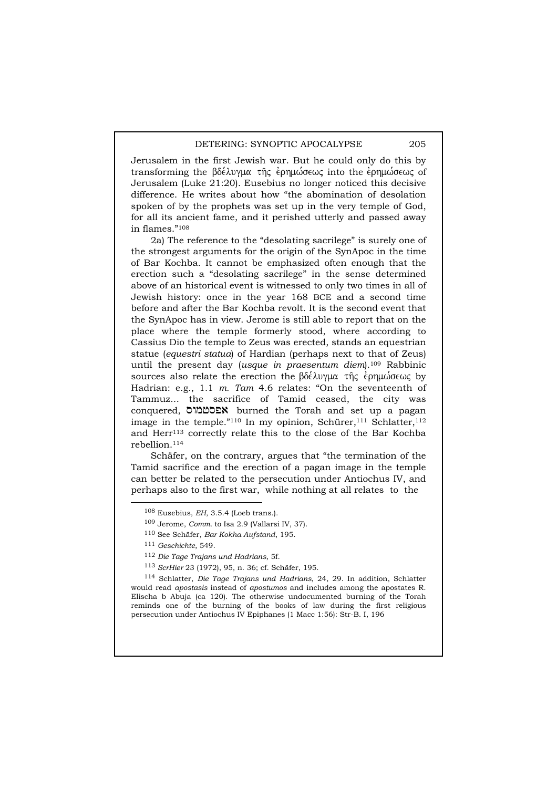Jerusalem in the first Jewish war. But he could only do this by transforming the βδέλυγμα της ερημώσεως into the ερημώσεως of Jerusalem (Luke 21:20). Eusebius no longer noticed this decisive difference. He writes about how "the abomination of desolation spoken of by the prophets was set up in the very temple of God, for all its ancient fame, and it perished utterly and passed away in flames."108

2a) The reference to the "desolating sacrilege" is surely one of the strongest arguments for the origin of the SynApoc in the time of Bar Kochba. It cannot be emphasized often enough that the erection such a "desolating sacrilege" in the sense determined above of an historical event is witnessed to only two times in all of Jewish history: once in the year 168 BCE and a second time before and after the Bar Kochba revolt. It is the second event that the SynApoc has in view. Jerome is still able to report that on the place where the temple formerly stood, where according to Cassius Dio the temple to Zeus was erected, stands an equestrian statue (*equestri statua*) of Hardian (perhaps next to that of Zeus) until the present day (*usque in praesentum diem*).109 Rabbinic sources also relate the erection the  $\beta\delta\epsilon\lambda\upsilon\gamma\mu\alpha$   $\tau\hat{\eta}\varsigma$  epplusions by Hadrian: e.g., 1.1 *m. Tam* 4.6 relates: "On the seventeenth of Tammuz... the sacrifice of Tamid ceased, the city was conquered, **אפסטמורס** burned the Torah and set up a pagan image in the temple."<sup>110</sup> In my opinion, Schürer,<sup>111</sup> Schlatter,<sup>112</sup> and Herr<sup>113</sup> correctly relate this to the close of the Bar Kochba rebellion.114

Schäfer, on the contrary, argues that "the termination of the Tamid sacrifice and the erection of a pagan image in the temple can better be related to the persecution under Antiochus IV, and perhaps also to the first war, while nothing at all relates to the

114 Schlatter, *Die Tage Trajans und Hadrians*, 24, 29. In addition, Schlatter would read *apostasis* instead of *apostumos* and includes among the apostates R. Elischa b Abuja (ca 120). The otherwise undocumented burning of the Torah reminds one of the burning of the books of law during the first religious persecution under Antiochus IV Epiphanes (1 Macc 1:56): Str-B. I, 196

 <sup>108</sup> Eusebius, *EH*, 3.5.4 (Loeb trans.).

<sup>109</sup> Jerome, *Comm.* to Isa 2.9 (Vallarsi IV, 37).

<sup>110</sup> See Schäfer, *Bar Kokha Aufstand*, 195.

<sup>111</sup> *Geschichte*, 549.

<sup>112</sup> *Die Tage Trajans und Hadrians*, 5f.

<sup>113</sup> *ScrHier* 23 (1972), 95, n. 36; cf. Schäfer, 195.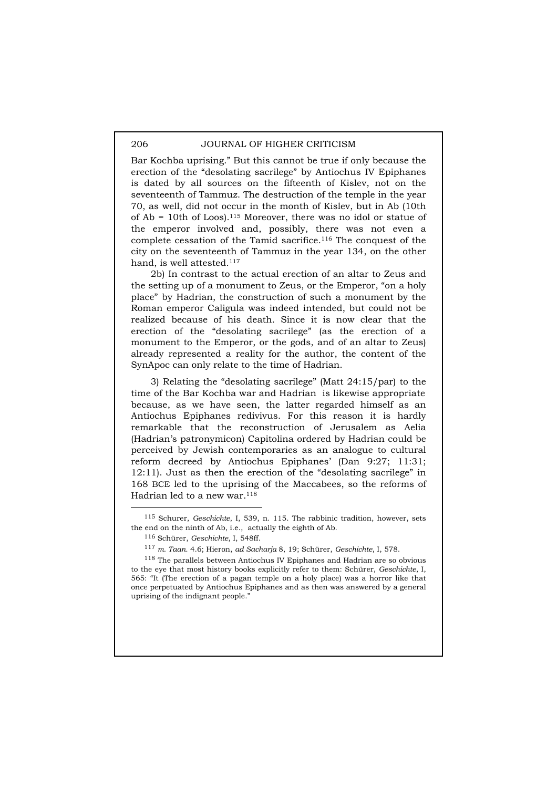Bar Kochba uprising." But this cannot be true if only because the erection of the "desolating sacrilege" by Antiochus IV Epiphanes is dated by all sources on the fifteenth of Kislev, not on the seventeenth of Tammuz. The destruction of the temple in the year 70, as well, did not occur in the month of Kislev, but in Ab (10th of  $Ab = 10$ th of Loos).<sup>115</sup> Moreover, there was no idol or statue of the emperor involved and, possibly, there was not even a complete cessation of the Tamid sacrifice.116 The conquest of the city on the seventeenth of Tammuz in the year 134, on the other hand, is well attested.117

2b) In contrast to the actual erection of an altar to Zeus and the setting up of a monument to Zeus, or the Emperor, "on a holy place" by Hadrian, the construction of such a monument by the Roman emperor Caligula was indeed intended, but could not be realized because of his death. Since it is now clear that the erection of the "desolating sacrilege" (as the erection of a monument to the Emperor, or the gods, and of an altar to Zeus) already represented a reality for the author, the content of the SynApoc can only relate to the time of Hadrian.

3) Relating the "desolating sacrilege" (Matt 24:15/par) to the time of the Bar Kochba war and Hadrian is likewise appropriate because, as we have seen, the latter regarded himself as an Antiochus Epiphanes redivivus. For this reason it is hardly remarkable that the reconstruction of Jerusalem as Aelia (Hadrian's patronymicon) Capitolina ordered by Hadrian could be perceived by Jewish contemporaries as an analogue to cultural reform decreed by Antiochus Epiphanes' (Dan 9:27; 11:31; 12:11). Just as then the erection of the "desolating sacrilege" in 168 BCE led to the uprising of the Maccabees, so the reforms of Hadrian led to a new war.<sup>118</sup>

 <sup>115</sup> Schurer, *Geschichte*, I, 539, n. 115. The rabbinic tradition, however, sets the end on the ninth of Ab, i.e., actually the eighth of Ab.

<sup>116</sup> Schürer, *Geschichte*, I, 548ff.

<sup>117</sup> *m. Taan.* 4.6; Hieron, *ad Sacharja* 8, 19; Schürer, *Geschichte*, I, 578.

<sup>118</sup> The parallels between Antiochus IV Epiphanes and Hadrian are so obvious to the eye that most history books explicitly refer to them: Schürer, *Geschichte*, I, 565: "It (The erection of a pagan temple on a holy place) was a horror like that once perpetuated by Antiochus Epiphanes and as then was answered by a general uprising of the indignant people.'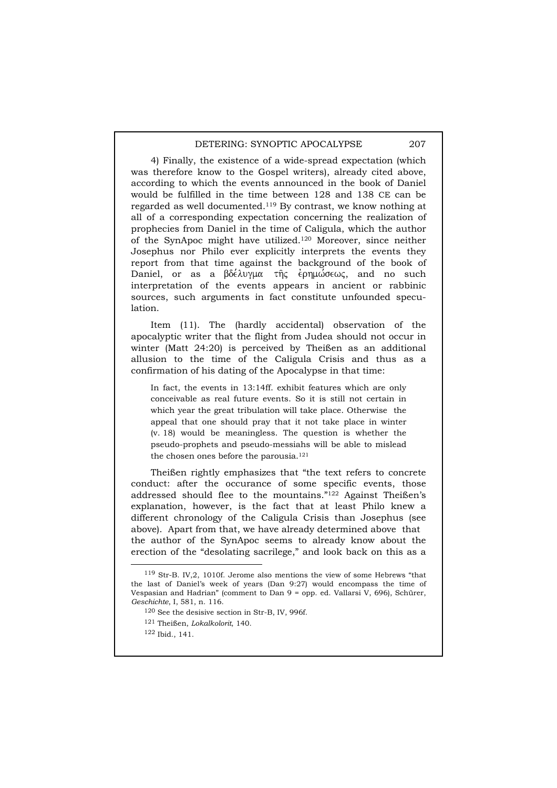4) Finally, the existence of a wide-spread expectation (which was therefore know to the Gospel writers), already cited above, according to which the events announced in the book of Daniel would be fulfilled in the time between 128 and 138 CE can be regarded as well documented.119 By contrast, we know nothing at all of a corresponding expectation concerning the realization of prophecies from Daniel in the time of Caligula, which the author of the SynApoc might have utilized.120 Moreover, since neither Josephus nor Philo ever explicitly interprets the events they report from that time against the background of the book of Daniel, or as a βδέλυγμα της έρημώσεως, and no such interpretation of the events appears in ancient or rabbinic sources, such arguments in fact constitute unfounded speculation.

Item (11). The (hardly accidental) observation of the apocalyptic writer that the flight from Judea should not occur in winter (Matt 24:20) is perceived by Theißen as an additional allusion to the time of the Caligula Crisis and thus as a confirmation of his dating of the Apocalypse in that time:

In fact, the events in 13:14ff. exhibit features which are only conceivable as real future events. So it is still not certain in which year the great tribulation will take place. Otherwise the appeal that one should pray that it not take place in winter (v. 18) would be meaningless. The question is whether the pseudo-prophets and pseudo-messiahs will be able to mislead the chosen ones before the parousia.121

Theißen rightly emphasizes that "the text refers to concrete conduct: after the occurance of some specific events, those addressed should flee to the mountains."122 Against Theißen's explanation, however, is the fact that at least Philo knew a different chronology of the Caligula Crisis than Josephus (see above). Apart from that, we have already determined above that the author of the SynApoc seems to already know about the erection of the "desolating sacrilege," and look back on this as a

 <sup>119</sup> Str-B. IV,2, 1010f. Jerome also mentions the view of some Hebrews "that the last of Daniel's week of years (Dan 9:27) would encompass the time of Vespasian and Hadrian" (comment to Dan 9 = opp. ed. Vallarsi V, 696), Schürer, *Geschichte*, I, 581, n. 116.

<sup>120</sup> See the desisive section in Str-B, IV, 996f.

<sup>121</sup> Theißen, *Lokalkolorit*, 140.

<sup>122</sup> Ibid., 141.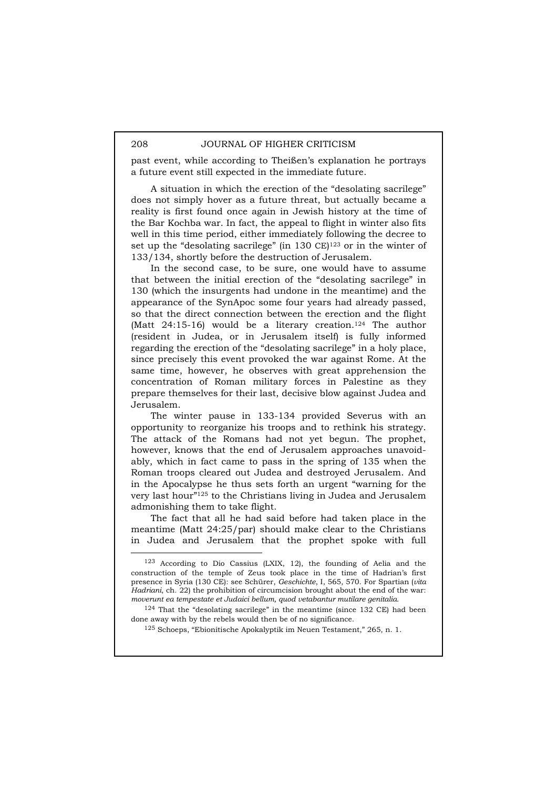past event, while according to Theißen's explanation he portrays a future event still expected in the immediate future.

A situation in which the erection of the "desolating sacrilege" does not simply hover as a future threat, but actually became a reality is first found once again in Jewish history at the time of the Bar Kochba war. In fact, the appeal to flight in winter also fits well in this time period, either immediately following the decree to set up the "desolating sacrilege" (in 130 CE)<sup>123</sup> or in the winter of 133/134, shortly before the destruction of Jerusalem.

In the second case, to be sure, one would have to assume that between the initial erection of the "desolating sacrilege" in 130 (which the insurgents had undone in the meantime) and the appearance of the SynApoc some four years had already passed, so that the direct connection between the erection and the flight (Matt  $24:15-16$ ) would be a literary creation.<sup>124</sup> The author (resident in Judea, or in Jerusalem itself) is fully informed regarding the erection of the "desolating sacrilege" in a holy place, since precisely this event provoked the war against Rome. At the same time, however, he observes with great apprehension the concentration of Roman military forces in Palestine as they prepare themselves for their last, decisive blow against Judea and Jerusalem.

The winter pause in 133-134 provided Severus with an opportunity to reorganize his troops and to rethink his strategy. The attack of the Romans had not yet begun. The prophet, however, knows that the end of Jerusalem approaches unavoidably, which in fact came to pass in the spring of 135 when the Roman troops cleared out Judea and destroyed Jerusalem. And in the Apocalypse he thus sets forth an urgent "warning for the very last hour"125 to the Christians living in Judea and Jerusalem admonishing them to take flight.

The fact that all he had said before had taken place in the meantime (Matt 24:25/par) should make clear to the Christians in Judea and Jerusalem that the prophet spoke with full

 <sup>123</sup> According to Dio Cassius (LXIX, 12), the founding of Aelia and the construction of the temple of Zeus took place in the time of Hadrian's first presence in Syria (130 CE): see Schürer, *Geschichte*, I, 565, 570. For Spartian (*vita Hadriani*, ch. 22) the prohibition of circumcision brought about the end of the war: *moverunt ea tempestate et Judaici bellum, quod vetabantur mutilare genitalia*.

 $124$  That the "desolating sacrilege" in the meantime (since 132 CE) had been done away with by the rebels would then be of no significance.

<sup>125</sup> Schoeps, "Ebionitische Apokalyptik im Neuen Testament," 265, n. 1.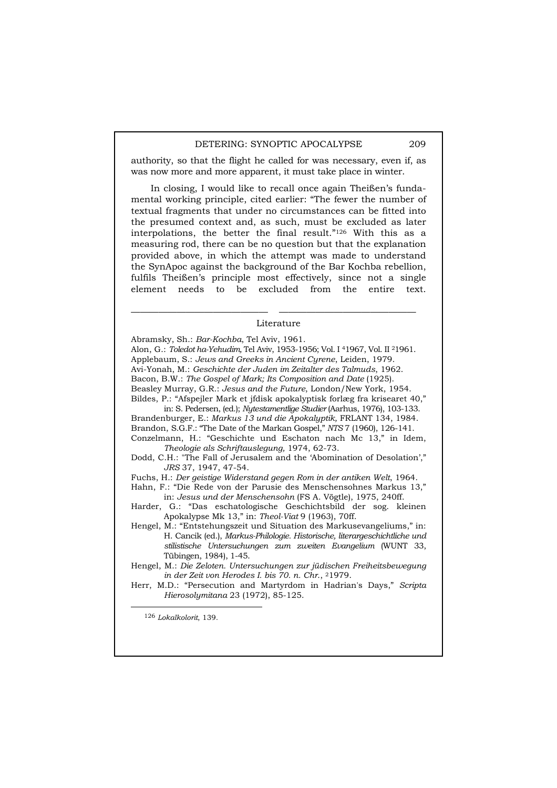authority, so that the flight he called for was necessary, even if, as was now more and more apparent, it must take place in winter.

In closing, I would like to recall once again Theißen's fundamental working principle, cited earlier: "The fewer the number of textual fragments that under no circumstances can be fitted into the presumed context and, as such, must be excluded as later interpolations, the better the final result."126 With this as a measuring rod, there can be no question but that the explanation provided above, in which the attempt was made to understand the SynApoc against the background of the Bar Kochba rebellion, fulfils Theißen's principle most effectively, since not a single element needs to be excluded from the entire text.

# ——————————————— ——————————————— Literature

Abramsky, Sh.: *Bar-Kochba*, Tel Aviv, 1961. Alon, G.: *Toledot ha-Yehudim,* Tel Aviv, 1953-1956; Vol. I 41967, Vol. II 21961. Applebaum, S.: *Jews and Greeks in Ancient Cyrene*, Leiden, 1979. Avi-Yonah, M.: *Geschichte der Juden im Zeitalter des Talmuds*, 1962. Bacon, B.W.: *The Gospel of Mark; Its Composition and Date* (1925). Beasley Murray, G.R.: *Jesus and the Future*, London/New York, 1954. Bildes, P.: "Afspejler Mark et jfdisk apokalyptisk forlæg fra krisearet 40," in: S. Pedersen, (ed.); *Nytestamentlige Studier* (Aarhus, 1976), 103-133. Brandenburger, E.: *Markus 13 und die Apokalyptik,* FRLANT 134, 1984. Brandon, S.G.F.: "The Date of the Markan Gospel," *NTS* 7 (1960), 126-141. Conzelmann, H.: "Geschichte und Eschaton nach Mc 13," in Idem, *Theologie als Schriftauslegung,* 1974, 62-73. Dodd, C.H.: "The Fall of Jerusalem and the 'Abomination of Desolation'," *JRS* 37, 1947, 47-54.

Fuchs, H.: *Der geistige Widerstand gegen Rom in der antiken Welt*, 1964.

- Hahn, F.: "Die Rede von der Parusie des Menschensohnes Markus 13," in: *Jesus und der Menschensohn* (FS A. Vögtle), 1975, 240ff.
- Harder, G.: "Das eschatologische Geschichtsbild der sog. kleinen Apokalypse Mk 13," in: *Theol-Viat* 9 (1963), 70ff.
- Hengel, M.: "Entstehungszeit und Situation des Markusevangeliums," in: H. Cancik (ed.), *Markus-Philologie. Historische, literargeschichtliche und stilistische Untersuchungen zum zweiten Evangelium* (WUNT 33, Tübingen, 1984), 1-45.
- Hengel, M.: *Die Zeloten. Untersuchungen zur jüdischen Freiheitsbewegung in der Zeit von Herodes I. bis 70. n. Chr*., 21979.
- Herr, M.D.: "Persecution and Martyrdom in Hadrian's Days," *Scripta Hierosolymitana* 23 (1972), 85-125.

126 *Lokalkolorit*, 139.